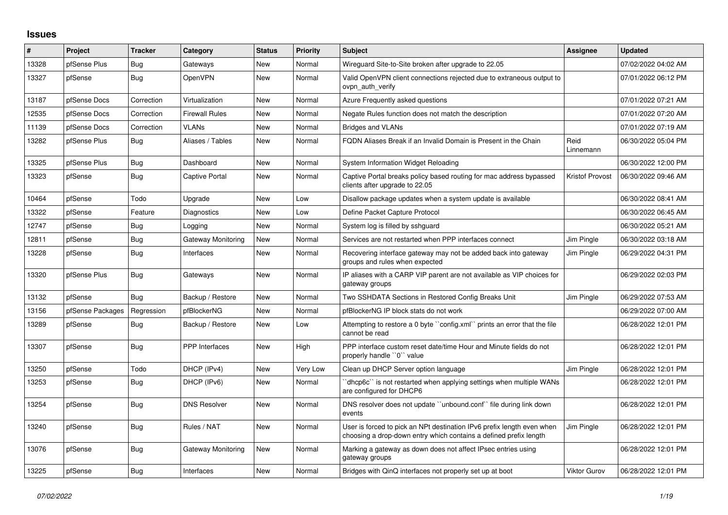## **Issues**

| #     | Project          | <b>Tracker</b> | Category              | <b>Status</b> | <b>Priority</b> | <b>Subject</b>                                                                                                                              | Assignee               | <b>Updated</b>      |
|-------|------------------|----------------|-----------------------|---------------|-----------------|---------------------------------------------------------------------------------------------------------------------------------------------|------------------------|---------------------|
| 13328 | pfSense Plus     | Bug            | Gateways              | <b>New</b>    | Normal          | Wireguard Site-to-Site broken after upgrade to 22.05                                                                                        |                        | 07/02/2022 04:02 AM |
| 13327 | pfSense          | Bug            | <b>OpenVPN</b>        | <b>New</b>    | Normal          | Valid OpenVPN client connections rejected due to extraneous output to<br>ovpn auth verify                                                   |                        | 07/01/2022 06:12 PM |
| 13187 | pfSense Docs     | Correction     | Virtualization        | <b>New</b>    | Normal          | Azure Frequently asked questions                                                                                                            |                        | 07/01/2022 07:21 AM |
| 12535 | pfSense Docs     | Correction     | <b>Firewall Rules</b> | New           | Normal          | Negate Rules function does not match the description                                                                                        |                        | 07/01/2022 07:20 AM |
| 11139 | pfSense Docs     | Correction     | <b>VLANs</b>          | <b>New</b>    | Normal          | <b>Bridges and VLANs</b>                                                                                                                    |                        | 07/01/2022 07:19 AM |
| 13282 | pfSense Plus     | Bug            | Aliases / Tables      | New           | Normal          | FQDN Aliases Break if an Invalid Domain is Present in the Chain                                                                             | Reid<br>Linnemann      | 06/30/2022 05:04 PM |
| 13325 | pfSense Plus     | Bug            | Dashboard             | <b>New</b>    | Normal          | System Information Widget Reloading                                                                                                         |                        | 06/30/2022 12:00 PM |
| 13323 | pfSense          | <b>Bug</b>     | Captive Portal        | <b>New</b>    | Normal          | Captive Portal breaks policy based routing for mac address bypassed<br>clients after upgrade to 22.05                                       | <b>Kristof Provost</b> | 06/30/2022 09:46 AM |
| 10464 | pfSense          | Todo           | Upgrade               | <b>New</b>    | Low             | Disallow package updates when a system update is available                                                                                  |                        | 06/30/2022 08:41 AM |
| 13322 | pfSense          | Feature        | Diagnostics           | New           | Low             | Define Packet Capture Protocol                                                                                                              |                        | 06/30/2022 06:45 AM |
| 12747 | pfSense          | Bug            | Logging               | <b>New</b>    | Normal          | System log is filled by sshguard                                                                                                            |                        | 06/30/2022 05:21 AM |
| 12811 | pfSense          | Bug            | Gateway Monitoring    | <b>New</b>    | Normal          | Services are not restarted when PPP interfaces connect                                                                                      | Jim Pingle             | 06/30/2022 03:18 AM |
| 13228 | pfSense          | Bug            | Interfaces            | New           | Normal          | Recovering interface gateway may not be added back into gateway<br>groups and rules when expected                                           | Jim Pingle             | 06/29/2022 04:31 PM |
| 13320 | pfSense Plus     | Bug            | Gateways              | <b>New</b>    | Normal          | IP aliases with a CARP VIP parent are not available as VIP choices for<br>gateway groups                                                    |                        | 06/29/2022 02:03 PM |
| 13132 | pfSense          | Bug            | Backup / Restore      | <b>New</b>    | Normal          | Two SSHDATA Sections in Restored Config Breaks Unit                                                                                         | Jim Pingle             | 06/29/2022 07:53 AM |
| 13156 | pfSense Packages | Regression     | pfBlockerNG           | <b>New</b>    | Normal          | pfBlockerNG IP block stats do not work                                                                                                      |                        | 06/29/2022 07:00 AM |
| 13289 | pfSense          | Bug            | Backup / Restore      | <b>New</b>    | Low             | Attempting to restore a 0 byte ``config.xml`` prints an error that the file<br>cannot be read                                               |                        | 06/28/2022 12:01 PM |
| 13307 | pfSense          | Bug            | <b>PPP</b> Interfaces | <b>New</b>    | High            | PPP interface custom reset date/time Hour and Minute fields do not<br>properly handle "0" value                                             |                        | 06/28/2022 12:01 PM |
| 13250 | pfSense          | Todo           | DHCP (IPv4)           | <b>New</b>    | Very Low        | Clean up DHCP Server option language                                                                                                        | Jim Pingle             | 06/28/2022 12:01 PM |
| 13253 | pfSense          | Bug            | DHCP (IPv6)           | <b>New</b>    | Normal          | dhcp6c" is not restarted when applying settings when multiple WANs<br>are configured for DHCP6                                              |                        | 06/28/2022 12:01 PM |
| 13254 | pfSense          | Bug            | <b>DNS Resolver</b>   | <b>New</b>    | Normal          | DNS resolver does not update "unbound.conf" file during link down<br>events                                                                 |                        | 06/28/2022 12:01 PM |
| 13240 | pfSense          | Bug            | Rules / NAT           | <b>New</b>    | Normal          | User is forced to pick an NPt destination IPv6 prefix length even when<br>choosing a drop-down entry which contains a defined prefix length | Jim Pingle             | 06/28/2022 12:01 PM |
| 13076 | pfSense          | Bug            | Gateway Monitoring    | New           | Normal          | Marking a gateway as down does not affect IPsec entries using<br>gateway groups                                                             |                        | 06/28/2022 12:01 PM |
| 13225 | pfSense          | Bug            | Interfaces            | New           | Normal          | Bridges with QinQ interfaces not properly set up at boot                                                                                    | Viktor Gurov           | 06/28/2022 12:01 PM |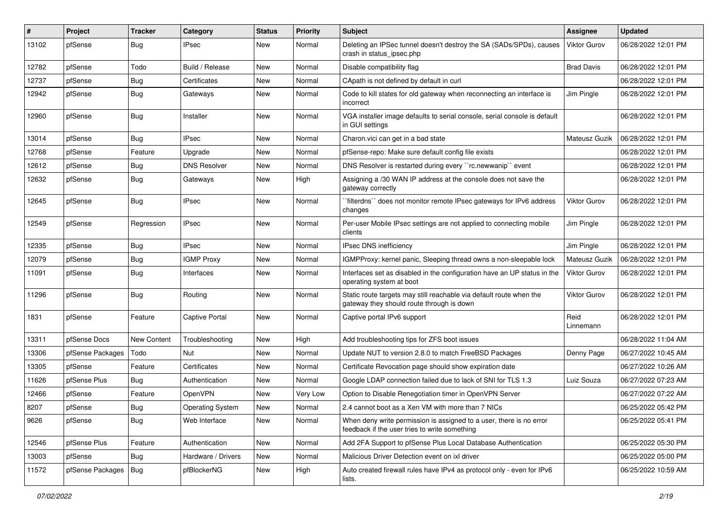| ∦     | Project          | <b>Tracker</b>     | Category                | <b>Status</b> | <b>Priority</b> | Subject                                                                                                              | Assignee            | <b>Updated</b>      |
|-------|------------------|--------------------|-------------------------|---------------|-----------------|----------------------------------------------------------------------------------------------------------------------|---------------------|---------------------|
| 13102 | pfSense          | <b>Bug</b>         | IPsec                   | New           | Normal          | Deleting an IPSec tunnel doesn't destroy the SA (SADs/SPDs), causes<br>crash in status_ipsec.php                     | <b>Viktor Gurov</b> | 06/28/2022 12:01 PM |
| 12782 | pfSense          | Todo               | Build / Release         | New           | Normal          | Disable compatibility flag                                                                                           | <b>Brad Davis</b>   | 06/28/2022 12:01 PM |
| 12737 | pfSense          | Bug                | Certificates            | New           | Normal          | CApath is not defined by default in curl                                                                             |                     | 06/28/2022 12:01 PM |
| 12942 | pfSense          | <b>Bug</b>         | Gateways                | New           | Normal          | Code to kill states for old gateway when reconnecting an interface is<br>incorrect                                   | Jim Pingle          | 06/28/2022 12:01 PM |
| 12960 | pfSense          | <b>Bug</b>         | Installer               | New           | Normal          | VGA installer image defaults to serial console, serial console is default<br>in GUI settings                         |                     | 06/28/2022 12:01 PM |
| 13014 | pfSense          | <b>Bug</b>         | <b>IPsec</b>            | New           | Normal          | Charon.vici can get in a bad state                                                                                   | Mateusz Guzik       | 06/28/2022 12:01 PM |
| 12768 | pfSense          | Feature            | Upgrade                 | New           | Normal          | pfSense-repo: Make sure default config file exists                                                                   |                     | 06/28/2022 12:01 PM |
| 12612 | pfSense          | <b>Bug</b>         | <b>DNS Resolver</b>     | New           | Normal          | DNS Resolver is restarted during every "rc.newwanip" event                                                           |                     | 06/28/2022 12:01 PM |
| 12632 | pfSense          | <b>Bug</b>         | Gateways                | New           | High            | Assigning a /30 WAN IP address at the console does not save the<br>gateway correctly                                 |                     | 06/28/2022 12:01 PM |
| 12645 | pfSense          | <b>Bug</b>         | <b>IPsec</b>            | New           | Normal          | `filterdns`` does not monitor remote IPsec gateways for IPv6 address<br>changes                                      | Viktor Gurov        | 06/28/2022 12:01 PM |
| 12549 | pfSense          | Regression         | <b>IPsec</b>            | New           | Normal          | Per-user Mobile IPsec settings are not applied to connecting mobile<br>clients                                       | Jim Pingle          | 06/28/2022 12:01 PM |
| 12335 | pfSense          | Bug                | <b>IPsec</b>            | New           | Normal          | IPsec DNS inefficiency                                                                                               | Jim Pingle          | 06/28/2022 12:01 PM |
| 12079 | pfSense          | <b>Bug</b>         | <b>IGMP Proxy</b>       | New           | Normal          | IGMPProxy: kernel panic, Sleeping thread owns a non-sleepable lock                                                   | Mateusz Guzik       | 06/28/2022 12:01 PM |
| 11091 | pfSense          | <b>Bug</b>         | Interfaces              | New           | Normal          | Interfaces set as disabled in the configuration have an UP status in the<br>operating system at boot                 | <b>Viktor Gurov</b> | 06/28/2022 12:01 PM |
| 11296 | pfSense          | <b>Bug</b>         | Routing                 | New           | Normal          | Static route targets may still reachable via default route when the<br>gateway they should route through is down     | Viktor Gurov        | 06/28/2022 12:01 PM |
| 1831  | pfSense          | Feature            | Captive Portal          | New           | Normal          | Captive portal IPv6 support                                                                                          | Reid<br>Linnemann   | 06/28/2022 12:01 PM |
| 13311 | pfSense Docs     | <b>New Content</b> | Troubleshooting         | New           | High            | Add troubleshooting tips for ZFS boot issues                                                                         |                     | 06/28/2022 11:04 AM |
| 13306 | pfSense Packages | Todo               | <b>Nut</b>              | New           | Normal          | Update NUT to version 2.8.0 to match FreeBSD Packages                                                                | Denny Page          | 06/27/2022 10:45 AM |
| 13305 | pfSense          | Feature            | Certificates            | New           | Normal          | Certificate Revocation page should show expiration date                                                              |                     | 06/27/2022 10:26 AM |
| 11626 | pfSense Plus     | Bug                | Authentication          | New           | Normal          | Google LDAP connection failed due to lack of SNI for TLS 1.3                                                         | Luiz Souza          | 06/27/2022 07:23 AM |
| 12466 | pfSense          | Feature            | OpenVPN                 | New           | Very Low        | Option to Disable Renegotiation timer in OpenVPN Server                                                              |                     | 06/27/2022 07:22 AM |
| 8207  | pfSense          | Bug                | <b>Operating System</b> | New           | Normal          | 2.4 cannot boot as a Xen VM with more than 7 NICs                                                                    |                     | 06/25/2022 05:42 PM |
| 9626  | pfSense          | <b>Bug</b>         | Web Interface           | New           | Normal          | When deny write permission is assigned to a user, there is no error<br>feedback if the user tries to write something |                     | 06/25/2022 05:41 PM |
| 12546 | pfSense Plus     | Feature            | Authentication          | New           | Normal          | Add 2FA Support to pfSense Plus Local Database Authentication                                                        |                     | 06/25/2022 05:30 PM |
| 13003 | pfSense          | <b>Bug</b>         | Hardware / Drivers      | New           | Normal          | Malicious Driver Detection event on ixl driver                                                                       |                     | 06/25/2022 05:00 PM |
| 11572 | pfSense Packages | Bug                | pfBlockerNG             | New           | High            | Auto created firewall rules have IPv4 as protocol only - even for IPv6<br>lists.                                     |                     | 06/25/2022 10:59 AM |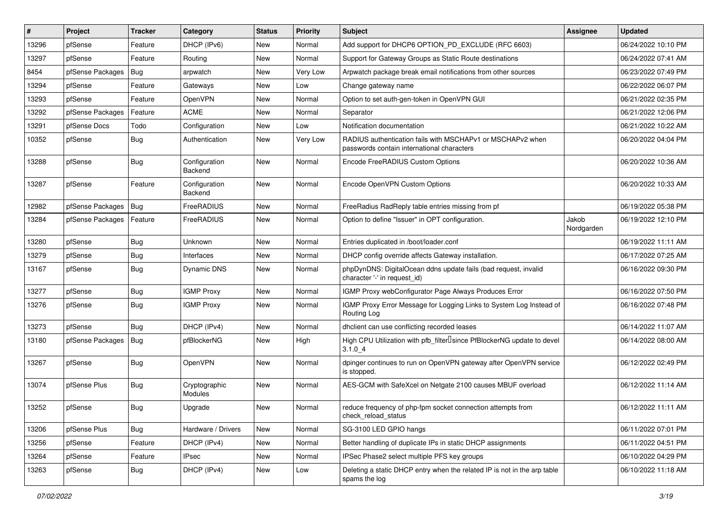| $\vert$ # | Project          | <b>Tracker</b> | Category                 | <b>Status</b> | <b>Priority</b> | Subject                                                                                                  | Assignee            | <b>Updated</b>      |
|-----------|------------------|----------------|--------------------------|---------------|-----------------|----------------------------------------------------------------------------------------------------------|---------------------|---------------------|
| 13296     | pfSense          | Feature        | DHCP (IPv6)              | New           | Normal          | Add support for DHCP6 OPTION PD EXCLUDE (RFC 6603)                                                       |                     | 06/24/2022 10:10 PM |
| 13297     | pfSense          | Feature        | Routing                  | New           | Normal          | Support for Gateway Groups as Static Route destinations                                                  |                     | 06/24/2022 07:41 AM |
| 8454      | pfSense Packages | Bug            | arpwatch                 | New           | Very Low        | Arpwatch package break email notifications from other sources                                            |                     | 06/23/2022 07:49 PM |
| 13294     | pfSense          | Feature        | Gateways                 | New           | Low             | Change gateway name                                                                                      |                     | 06/22/2022 06:07 PM |
| 13293     | pfSense          | Feature        | OpenVPN                  | New           | Normal          | Option to set auth-gen-token in OpenVPN GUI                                                              |                     | 06/21/2022 02:35 PM |
| 13292     | pfSense Packages | Feature        | <b>ACME</b>              | New           | Normal          | Separator                                                                                                |                     | 06/21/2022 12:06 PM |
| 13291     | pfSense Docs     | Todo           | Configuration            | New           | Low             | Notification documentation                                                                               |                     | 06/21/2022 10:22 AM |
| 10352     | pfSense          | Bug            | Authentication           | New           | Very Low        | RADIUS authentication fails with MSCHAPv1 or MSCHAPv2 when<br>passwords contain international characters |                     | 06/20/2022 04:04 PM |
| 13288     | pfSense          | Bug            | Configuration<br>Backend | New           | Normal          | Encode FreeRADIUS Custom Options                                                                         |                     | 06/20/2022 10:36 AM |
| 13287     | pfSense          | Feature        | Configuration<br>Backend | New           | Normal          | Encode OpenVPN Custom Options                                                                            |                     | 06/20/2022 10:33 AM |
| 12982     | pfSense Packages | Bug            | FreeRADIUS               | New           | Normal          | FreeRadius RadReply table entries missing from pf                                                        |                     | 06/19/2022 05:38 PM |
| 13284     | pfSense Packages | Feature        | FreeRADIUS               | New           | Normal          | Option to define "Issuer" in OPT configuration.                                                          | Jakob<br>Nordgarden | 06/19/2022 12:10 PM |
| 13280     | pfSense          | Bug            | Unknown                  | New           | Normal          | Entries duplicated in /boot/loader.conf                                                                  |                     | 06/19/2022 11:11 AM |
| 13279     | pfSense          | Bug            | Interfaces               | New           | Normal          | DHCP config override affects Gateway installation.                                                       |                     | 06/17/2022 07:25 AM |
| 13167     | pfSense          | <b>Bug</b>     | Dynamic DNS              | New           | Normal          | phpDynDNS: DigitalOcean ddns update fails (bad request, invalid<br>character '-' in request_id)          |                     | 06/16/2022 09:30 PM |
| 13277     | pfSense          | Bug            | <b>IGMP Proxy</b>        | <b>New</b>    | Normal          | IGMP Proxy webConfigurator Page Always Produces Error                                                    |                     | 06/16/2022 07:50 PM |
| 13276     | pfSense          | <b>Bug</b>     | <b>IGMP Proxy</b>        | New           | Normal          | IGMP Proxy Error Message for Logging Links to System Log Instead of<br>Routing Log                       |                     | 06/16/2022 07:48 PM |
| 13273     | pfSense          | Bug            | DHCP (IPv4)              | <b>New</b>    | Normal          | dhclient can use conflicting recorded leases                                                             |                     | 06/14/2022 11:07 AM |
| 13180     | pfSense Packages | <b>Bug</b>     | pfBlockerNG              | New           | High            | High CPU Utilization with pfb_filter <sup>[]</sup> since PfBlockerNG update to devel<br>3.1.04           |                     | 06/14/2022 08:00 AM |
| 13267     | pfSense          | Bug            | OpenVPN                  | <b>New</b>    | Normal          | dpinger continues to run on OpenVPN gateway after OpenVPN service<br>is stopped.                         |                     | 06/12/2022 02:49 PM |
| 13074     | pfSense Plus     | <b>Bug</b>     | Cryptographic<br>Modules | New           | Normal          | AES-GCM with SafeXcel on Netgate 2100 causes MBUF overload                                               |                     | 06/12/2022 11:14 AM |
| 13252     | pfSense          | <b>Bug</b>     | Upgrade                  | New           | Normal          | reduce frequency of php-fpm socket connection attempts from<br>check_reload_status                       |                     | 06/12/2022 11:11 AM |
| 13206     | pfSense Plus     | Bug            | Hardware / Drivers       | New           | Normal          | SG-3100 LED GPIO hangs                                                                                   |                     | 06/11/2022 07:01 PM |
| 13256     | pfSense          | Feature        | DHCP (IPv4)              | New           | Normal          | Better handling of duplicate IPs in static DHCP assignments                                              |                     | 06/11/2022 04:51 PM |
| 13264     | pfSense          | Feature        | IPsec                    | New           | Normal          | IPSec Phase2 select multiple PFS key groups                                                              |                     | 06/10/2022 04:29 PM |
| 13263     | pfSense          | Bug            | DHCP (IPv4)              | New           | Low             | Deleting a static DHCP entry when the related IP is not in the arp table<br>spams the log                |                     | 06/10/2022 11:18 AM |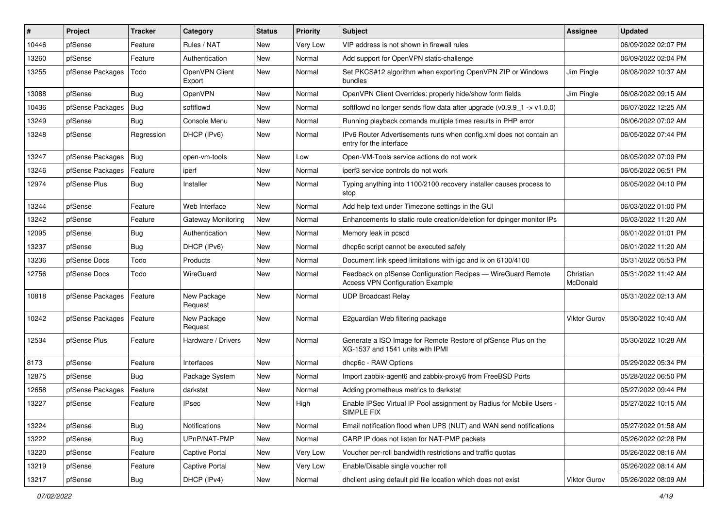| #     | Project          | <b>Tracker</b> | Category                 | <b>Status</b> | <b>Priority</b> | <b>Subject</b>                                                                                          | Assignee              | <b>Updated</b>      |
|-------|------------------|----------------|--------------------------|---------------|-----------------|---------------------------------------------------------------------------------------------------------|-----------------------|---------------------|
| 10446 | pfSense          | Feature        | Rules / NAT              | New           | Very Low        | VIP address is not shown in firewall rules                                                              |                       | 06/09/2022 02:07 PM |
| 13260 | pfSense          | Feature        | Authentication           | New           | Normal          | Add support for OpenVPN static-challenge                                                                |                       | 06/09/2022 02:04 PM |
| 13255 | pfSense Packages | Todo           | OpenVPN Client<br>Export | New           | Normal          | Set PKCS#12 algorithm when exporting OpenVPN ZIP or Windows<br>bundles                                  | Jim Pingle            | 06/08/2022 10:37 AM |
| 13088 | pfSense          | Bug            | OpenVPN                  | New           | Normal          | OpenVPN Client Overrides: properly hide/show form fields                                                | Jim Pingle            | 06/08/2022 09:15 AM |
| 10436 | pfSense Packages | Bug            | softflowd                | New           | Normal          | softflowd no longer sends flow data after upgrade $(v0.9.9 - 1 \rightarrow v1.0.0)$                     |                       | 06/07/2022 12:25 AM |
| 13249 | pfSense          | Bug            | Console Menu             | New           | Normal          | Running playback comands multiple times results in PHP error                                            |                       | 06/06/2022 07:02 AM |
| 13248 | pfSense          | Regression     | DHCP (IPv6)              | New           | Normal          | IPv6 Router Advertisements runs when config.xml does not contain an<br>entry for the interface          |                       | 06/05/2022 07:44 PM |
| 13247 | pfSense Packages | Bug            | open-vm-tools            | New           | Low             | Open-VM-Tools service actions do not work                                                               |                       | 06/05/2022 07:09 PM |
| 13246 | pfSense Packages | Feature        | iperf                    | New           | Normal          | iperf3 service controls do not work                                                                     |                       | 06/05/2022 06:51 PM |
| 12974 | pfSense Plus     | Bug            | Installer                | New           | Normal          | Typing anything into 1100/2100 recovery installer causes process to<br>stop                             |                       | 06/05/2022 04:10 PM |
| 13244 | pfSense          | Feature        | Web Interface            | New           | Normal          | Add help text under Timezone settings in the GUI                                                        |                       | 06/03/2022 01:00 PM |
| 13242 | pfSense          | Feature        | Gateway Monitoring       | New           | Normal          | Enhancements to static route creation/deletion for dpinger monitor IPs                                  |                       | 06/03/2022 11:20 AM |
| 12095 | pfSense          | <b>Bug</b>     | Authentication           | New           | Normal          | Memory leak in pcscd                                                                                    |                       | 06/01/2022 01:01 PM |
| 13237 | pfSense          | <b>Bug</b>     | DHCP (IPv6)              | New           | Normal          | dhcp6c script cannot be executed safely                                                                 |                       | 06/01/2022 11:20 AM |
| 13236 | pfSense Docs     | Todo           | Products                 | New           | Normal          | Document link speed limitations with igc and ix on 6100/4100                                            |                       | 05/31/2022 05:53 PM |
| 12756 | pfSense Docs     | Todo           | WireGuard                | New           | Normal          | Feedback on pfSense Configuration Recipes - WireGuard Remote<br><b>Access VPN Configuration Example</b> | Christian<br>McDonald | 05/31/2022 11:42 AM |
| 10818 | pfSense Packages | Feature        | New Package<br>Request   | New           | Normal          | <b>UDP Broadcast Relay</b>                                                                              |                       | 05/31/2022 02:13 AM |
| 10242 | pfSense Packages | Feature        | New Package<br>Request   | New           | Normal          | E2guardian Web filtering package                                                                        | <b>Viktor Gurov</b>   | 05/30/2022 10:40 AM |
| 12534 | pfSense Plus     | Feature        | Hardware / Drivers       | New           | Normal          | Generate a ISO Image for Remote Restore of pfSense Plus on the<br>XG-1537 and 1541 units with IPMI      |                       | 05/30/2022 10:28 AM |
| 8173  | pfSense          | Feature        | Interfaces               | New           | Normal          | dhcp6c - RAW Options                                                                                    |                       | 05/29/2022 05:34 PM |
| 12875 | pfSense          | <b>Bug</b>     | Package System           | New           | Normal          | Import zabbix-agent6 and zabbix-proxy6 from FreeBSD Ports                                               |                       | 05/28/2022 06:50 PM |
| 12658 | pfSense Packages | Feature        | darkstat                 | New           | Normal          | Adding prometheus metrics to darkstat                                                                   |                       | 05/27/2022 09:44 PM |
| 13227 | pfSense          | Feature        | IPsec                    | New           | High            | Enable IPSec Virtual IP Pool assignment by Radius for Mobile Users -<br>SIMPLE FIX                      |                       | 05/27/2022 10:15 AM |
| 13224 | pfSense          | Bug            | <b>Notifications</b>     | New           | Normal          | Email notification flood when UPS (NUT) and WAN send notifications                                      |                       | 05/27/2022 01:58 AM |
| 13222 | pfSense          | <b>Bug</b>     | UPnP/NAT-PMP             | New           | Normal          | CARP IP does not listen for NAT-PMP packets                                                             |                       | 05/26/2022 02:28 PM |
| 13220 | pfSense          | Feature        | Captive Portal           | New           | Very Low        | Voucher per-roll bandwidth restrictions and traffic quotas                                              |                       | 05/26/2022 08:16 AM |
| 13219 | pfSense          | Feature        | <b>Captive Portal</b>    | New           | Very Low        | Enable/Disable single voucher roll                                                                      |                       | 05/26/2022 08:14 AM |
| 13217 | pfSense          | Bug            | DHCP (IPv4)              | New           | Normal          | dhclient using default pid file location which does not exist                                           | Viktor Gurov          | 05/26/2022 08:09 AM |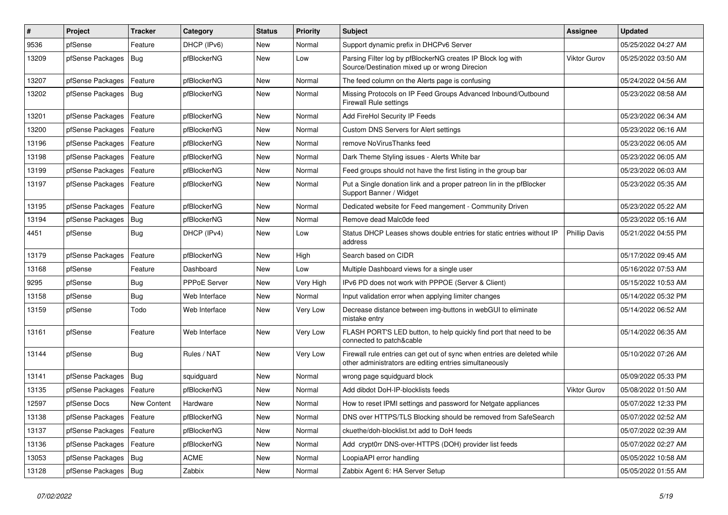| #     | Project                    | <b>Tracker</b>     | Category      | <b>Status</b> | <b>Priority</b> | Subject                                                                                                                             | <b>Assignee</b>      | <b>Updated</b>      |
|-------|----------------------------|--------------------|---------------|---------------|-----------------|-------------------------------------------------------------------------------------------------------------------------------------|----------------------|---------------------|
| 9536  | pfSense                    | Feature            | DHCP (IPv6)   | New           | Normal          | Support dynamic prefix in DHCPv6 Server                                                                                             |                      | 05/25/2022 04:27 AM |
| 13209 | pfSense Packages           | Bug                | pfBlockerNG   | New           | Low             | Parsing Filter log by pfBlockerNG creates IP Block log with<br>Source/Destination mixed up or wrong Direcion                        | Viktor Gurov         | 05/25/2022 03:50 AM |
| 13207 | pfSense Packages           | Feature            | pfBlockerNG   | New           | Normal          | The feed column on the Alerts page is confusing                                                                                     |                      | 05/24/2022 04:56 AM |
| 13202 | pfSense Packages           | Bug                | pfBlockerNG   | <b>New</b>    | Normal          | Missing Protocols on IP Feed Groups Advanced Inbound/Outbound<br><b>Firewall Rule settings</b>                                      |                      | 05/23/2022 08:58 AM |
| 13201 | pfSense Packages           | Feature            | pfBlockerNG   | New           | Normal          | Add FireHol Security IP Feeds                                                                                                       |                      | 05/23/2022 06:34 AM |
| 13200 | pfSense Packages           | Feature            | pfBlockerNG   | New           | Normal          | <b>Custom DNS Servers for Alert settings</b>                                                                                        |                      | 05/23/2022 06:16 AM |
| 13196 | pfSense Packages           | Feature            | pfBlockerNG   | New           | Normal          | remove NoVirusThanks feed                                                                                                           |                      | 05/23/2022 06:05 AM |
| 13198 | pfSense Packages           | Feature            | pfBlockerNG   | New           | Normal          | Dark Theme Styling issues - Alerts White bar                                                                                        |                      | 05/23/2022 06:05 AM |
| 13199 | pfSense Packages           | Feature            | pfBlockerNG   | New           | Normal          | Feed groups should not have the first listing in the group bar                                                                      |                      | 05/23/2022 06:03 AM |
| 13197 | pfSense Packages           | Feature            | pfBlockerNG   | New           | Normal          | Put a Single donation link and a proper patreon lin in the pfBlocker<br>Support Banner / Widget                                     |                      | 05/23/2022 05:35 AM |
| 13195 | pfSense Packages           | Feature            | pfBlockerNG   | New           | Normal          | Dedicated website for Feed mangement - Community Driven                                                                             |                      | 05/23/2022 05:22 AM |
| 13194 | pfSense Packages           | Bug                | pfBlockerNG   | New           | Normal          | Remove dead Malc0de feed                                                                                                            |                      | 05/23/2022 05:16 AM |
| 4451  | pfSense                    | Bug                | DHCP (IPv4)   | New           | Low             | Status DHCP Leases shows double entries for static entries without IP<br>address                                                    | <b>Phillip Davis</b> | 05/21/2022 04:55 PM |
| 13179 | pfSense Packages           | Feature            | pfBlockerNG   | New           | High            | Search based on CIDR                                                                                                                |                      | 05/17/2022 09:45 AM |
| 13168 | pfSense                    | Feature            | Dashboard     | New           | Low             | Multiple Dashboard views for a single user                                                                                          |                      | 05/16/2022 07:53 AM |
| 9295  | pfSense                    | <b>Bug</b>         | PPPoE Server  | New           | Very High       | IPv6 PD does not work with PPPOE (Server & Client)                                                                                  |                      | 05/15/2022 10:53 AM |
| 13158 | pfSense                    | <b>Bug</b>         | Web Interface | <b>New</b>    | Normal          | Input validation error when applying limiter changes                                                                                |                      | 05/14/2022 05:32 PM |
| 13159 | pfSense                    | Todo               | Web Interface | New           | Very Low        | Decrease distance between img-buttons in webGUI to eliminate<br>mistake entry                                                       |                      | 05/14/2022 06:52 AM |
| 13161 | pfSense                    | Feature            | Web Interface | New           | Very Low        | FLASH PORT'S LED button, to help quickly find port that need to be<br>connected to patch&cable                                      |                      | 05/14/2022 06:35 AM |
| 13144 | pfSense                    | Bug                | Rules / NAT   | New           | Very Low        | Firewall rule entries can get out of sync when entries are deleted while<br>other administrators are editing entries simultaneously |                      | 05/10/2022 07:26 AM |
| 13141 | pfSense Packages           | Bug                | squidguard    | New           | Normal          | wrong page squidguard block                                                                                                         |                      | 05/09/2022 05:33 PM |
| 13135 | pfSense Packages           | Feature            | pfBlockerNG   | <b>New</b>    | Normal          | Add dibdot DoH-IP-blocklists feeds                                                                                                  | Viktor Gurov         | 05/08/2022 01:50 AM |
| 12597 | pfSense Docs               | <b>New Content</b> | Hardware      | New           | Normal          | How to reset IPMI settings and password for Netgate appliances                                                                      |                      | 05/07/2022 12:33 PM |
| 13138 | pfSense Packages   Feature |                    | pfBlockerNG   | New           | Normal          | DNS over HTTPS/TLS Blocking should be removed from SafeSearch                                                                       |                      | 05/07/2022 02:52 AM |
| 13137 | pfSense Packages           | Feature            | pfBlockerNG   | New           | Normal          | ckuethe/doh-blocklist.txt add to DoH feeds                                                                                          |                      | 05/07/2022 02:39 AM |
| 13136 | pfSense Packages           | Feature            | pfBlockerNG   | New           | Normal          | Add crypt0rr DNS-over-HTTPS (DOH) provider list feeds                                                                               |                      | 05/07/2022 02:27 AM |
| 13053 | pfSense Packages           | Bug                | <b>ACME</b>   | New           | Normal          | LoopiaAPI error handling                                                                                                            |                      | 05/05/2022 10:58 AM |
| 13128 | pfSense Packages           | Bug                | Zabbix        | New           | Normal          | Zabbix Agent 6: HA Server Setup                                                                                                     |                      | 05/05/2022 01:55 AM |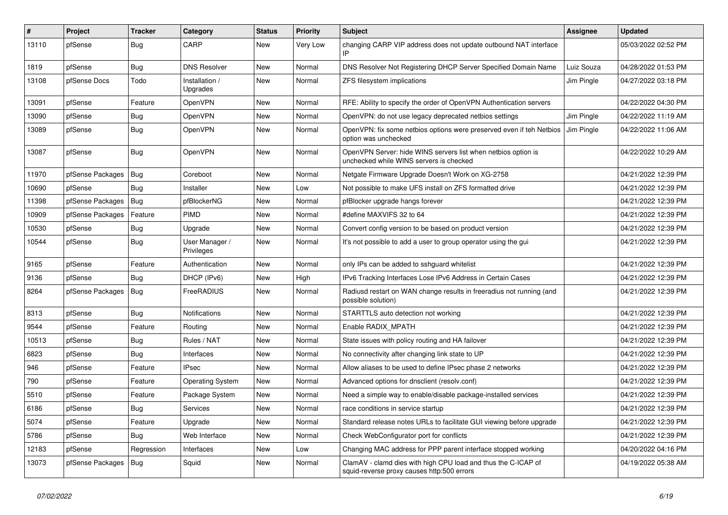| #     | Project          | <b>Tracker</b> | Category                     | <b>Status</b> | <b>Priority</b> | Subject                                                                                                     | Assignee   | <b>Updated</b>      |
|-------|------------------|----------------|------------------------------|---------------|-----------------|-------------------------------------------------------------------------------------------------------------|------------|---------------------|
| 13110 | pfSense          | <b>Bug</b>     | CARP                         | New           | Very Low        | changing CARP VIP address does not update outbound NAT interface                                            |            | 05/03/2022 02:52 PM |
| 1819  | pfSense          | <b>Bug</b>     | <b>DNS Resolver</b>          | New           | Normal          | DNS Resolver Not Registering DHCP Server Specified Domain Name                                              | Luiz Souza | 04/28/2022 01:53 PM |
| 13108 | pfSense Docs     | Todo           | Installation /<br>Upgrades   | New           | Normal          | ZFS filesystem implications                                                                                 | Jim Pingle | 04/27/2022 03:18 PM |
| 13091 | pfSense          | Feature        | OpenVPN                      | New           | Normal          | RFE: Ability to specify the order of OpenVPN Authentication servers                                         |            | 04/22/2022 04:30 PM |
| 13090 | pfSense          | Bug            | OpenVPN                      | New           | Normal          | OpenVPN: do not use legacy deprecated netbios settings                                                      | Jim Pingle | 04/22/2022 11:19 AM |
| 13089 | pfSense          | Bug            | OpenVPN                      | New           | Normal          | OpenVPN: fix some netbios options were preserved even if teh Netbios<br>option was unchecked                | Jim Pingle | 04/22/2022 11:06 AM |
| 13087 | pfSense          | <b>Bug</b>     | OpenVPN                      | New           | Normal          | OpenVPN Server: hide WINS servers list when netbios option is<br>unchecked while WINS servers is checked    |            | 04/22/2022 10:29 AM |
| 11970 | pfSense Packages | Bug            | Coreboot                     | New           | Normal          | Netgate Firmware Upgrade Doesn't Work on XG-2758                                                            |            | 04/21/2022 12:39 PM |
| 10690 | pfSense          | Bug            | Installer                    | New           | Low             | Not possible to make UFS install on ZFS formatted drive                                                     |            | 04/21/2022 12:39 PM |
| 11398 | pfSense Packages | <b>Bug</b>     | pfBlockerNG                  | New           | Normal          | pfBlocker upgrade hangs forever                                                                             |            | 04/21/2022 12:39 PM |
| 10909 | pfSense Packages | Feature        | <b>PIMD</b>                  | New           | Normal          | #define MAXVIFS 32 to 64                                                                                    |            | 04/21/2022 12:39 PM |
| 10530 | pfSense          | <b>Bug</b>     | Upgrade                      | <b>New</b>    | Normal          | Convert config version to be based on product version                                                       |            | 04/21/2022 12:39 PM |
| 10544 | pfSense          | <b>Bug</b>     | User Manager /<br>Privileges | New           | Normal          | It's not possible to add a user to group operator using the gui                                             |            | 04/21/2022 12:39 PM |
| 9165  | pfSense          | Feature        | Authentication               | New           | Normal          | only IPs can be added to sshguard whitelist                                                                 |            | 04/21/2022 12:39 PM |
| 9136  | pfSense          | <b>Bug</b>     | DHCP (IPv6)                  | New           | High            | IPv6 Tracking Interfaces Lose IPv6 Address in Certain Cases                                                 |            | 04/21/2022 12:39 PM |
| 8264  | pfSense Packages | Bug            | FreeRADIUS                   | New           | Normal          | Radiusd restart on WAN change results in freeradius not running (and<br>possible solution)                  |            | 04/21/2022 12:39 PM |
| 8313  | pfSense          | <b>Bug</b>     | Notifications                | New           | Normal          | STARTTLS auto detection not working                                                                         |            | 04/21/2022 12:39 PM |
| 9544  | pfSense          | Feature        | Routing                      | New           | Normal          | Enable RADIX MPATH                                                                                          |            | 04/21/2022 12:39 PM |
| 10513 | pfSense          | Bug            | Rules / NAT                  | New           | Normal          | State issues with policy routing and HA failover                                                            |            | 04/21/2022 12:39 PM |
| 6823  | pfSense          | <b>Bug</b>     | Interfaces                   | New           | Normal          | No connectivity after changing link state to UP                                                             |            | 04/21/2022 12:39 PM |
| 946   | pfSense          | Feature        | <b>IPsec</b>                 | New           | Normal          | Allow aliases to be used to define IPsec phase 2 networks                                                   |            | 04/21/2022 12:39 PM |
| 790   | pfSense          | Feature        | Operating System             | New           | Normal          | Advanced options for dnsclient (resolv.conf)                                                                |            | 04/21/2022 12:39 PM |
| 5510  | pfSense          | Feature        | Package System               | New           | Normal          | Need a simple way to enable/disable package-installed services                                              |            | 04/21/2022 12:39 PM |
| 6186  | pfSense          | <b>Bug</b>     | Services                     | New           | Normal          | race conditions in service startup                                                                          |            | 04/21/2022 12:39 PM |
| 5074  | pfSense          | Feature        | Upgrade                      | New           | Normal          | Standard release notes URLs to facilitate GUI viewing before upgrade                                        |            | 04/21/2022 12:39 PM |
| 5786  | pfSense          | <b>Bug</b>     | Web Interface                | New           | Normal          | Check WebConfigurator port for conflicts                                                                    |            | 04/21/2022 12:39 PM |
| 12183 | pfSense          | Regression     | Interfaces                   | New           | Low             | Changing MAC address for PPP parent interface stopped working                                               |            | 04/20/2022 04:16 PM |
| 13073 | pfSense Packages | Bug            | Squid                        | New           | Normal          | ClamAV - clamd dies with high CPU load and thus the C-ICAP of<br>squid-reverse proxy causes http:500 errors |            | 04/19/2022 05:38 AM |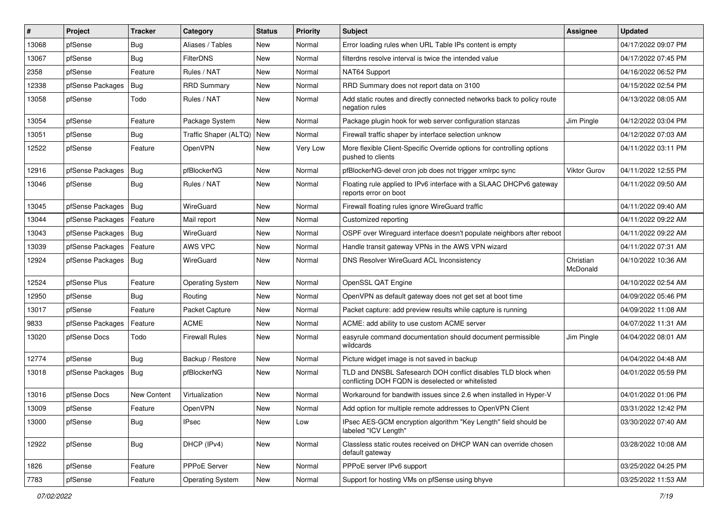| #     | Project          | <b>Tracker</b> | Category                | <b>Status</b> | <b>Priority</b> | <b>Subject</b>                                                                                                     | <b>Assignee</b>       | Updated             |
|-------|------------------|----------------|-------------------------|---------------|-----------------|--------------------------------------------------------------------------------------------------------------------|-----------------------|---------------------|
| 13068 | pfSense          | Bug            | Aliases / Tables        | New           | Normal          | Error loading rules when URL Table IPs content is empty                                                            |                       | 04/17/2022 09:07 PM |
| 13067 | pfSense          | Bug            | <b>FilterDNS</b>        | New           | Normal          | filterdns resolve interval is twice the intended value                                                             |                       | 04/17/2022 07:45 PM |
| 2358  | pfSense          | Feature        | Rules / NAT             | New           | Normal          | NAT64 Support                                                                                                      |                       | 04/16/2022 06:52 PM |
| 12338 | pfSense Packages | Bug            | <b>RRD Summary</b>      | New           | Normal          | RRD Summary does not report data on 3100                                                                           |                       | 04/15/2022 02:54 PM |
| 13058 | pfSense          | Todo           | Rules / NAT             | <b>New</b>    | Normal          | Add static routes and directly connected networks back to policy route<br>negation rules                           |                       | 04/13/2022 08:05 AM |
| 13054 | pfSense          | Feature        | Package System          | New           | Normal          | Package plugin hook for web server configuration stanzas                                                           | Jim Pingle            | 04/12/2022 03:04 PM |
| 13051 | pfSense          | <b>Bug</b>     | Traffic Shaper (ALTQ)   | New           | Normal          | Firewall traffic shaper by interface selection unknow                                                              |                       | 04/12/2022 07:03 AM |
| 12522 | pfSense          | Feature        | <b>OpenVPN</b>          | New           | Very Low        | More flexible Client-Specific Override options for controlling options<br>pushed to clients                        |                       | 04/11/2022 03:11 PM |
| 12916 | pfSense Packages | Bug            | pfBlockerNG             | New           | Normal          | pfBlockerNG-devel cron job does not trigger xmlrpc sync                                                            | <b>Viktor Gurov</b>   | 04/11/2022 12:55 PM |
| 13046 | pfSense          | <b>Bug</b>     | Rules / NAT             | New           | Normal          | Floating rule applied to IPv6 interface with a SLAAC DHCPv6 gateway<br>reports error on boot                       |                       | 04/11/2022 09:50 AM |
| 13045 | pfSense Packages | Bug            | WireGuard               | New           | Normal          | Firewall floating rules ignore WireGuard traffic                                                                   |                       | 04/11/2022 09:40 AM |
| 13044 | pfSense Packages | Feature        | Mail report             | New           | Normal          | Customized reporting                                                                                               |                       | 04/11/2022 09:22 AM |
| 13043 | pfSense Packages | Bug            | WireGuard               | New           | Normal          | OSPF over Wireguard interface doesn't populate neighbors after reboot                                              |                       | 04/11/2022 09:22 AM |
| 13039 | pfSense Packages | Feature        | AWS VPC                 | New           | Normal          | Handle transit gateway VPNs in the AWS VPN wizard                                                                  |                       | 04/11/2022 07:31 AM |
| 12924 | pfSense Packages | Bug            | WireGuard               | New           | Normal          | <b>DNS Resolver WireGuard ACL Inconsistency</b>                                                                    | Christian<br>McDonald | 04/10/2022 10:36 AM |
| 12524 | pfSense Plus     | Feature        | <b>Operating System</b> | New           | Normal          | OpenSSL QAT Engine                                                                                                 |                       | 04/10/2022 02:54 AM |
| 12950 | pfSense          | Bug            | Routing                 | <b>New</b>    | Normal          | OpenVPN as default gateway does not get set at boot time                                                           |                       | 04/09/2022 05:46 PM |
| 13017 | pfSense          | Feature        | Packet Capture          | New           | Normal          | Packet capture: add preview results while capture is running                                                       |                       | 04/09/2022 11:08 AM |
| 9833  | pfSense Packages | Feature        | <b>ACME</b>             | New           | Normal          | ACME: add ability to use custom ACME server                                                                        |                       | 04/07/2022 11:31 AM |
| 13020 | pfSense Docs     | Todo           | Firewall Rules          | New           | Normal          | easyrule command documentation should document permissible<br>wildcards                                            | Jim Pingle            | 04/04/2022 08:01 AM |
| 12774 | pfSense          | Bug            | Backup / Restore        | New           | Normal          | Picture widget image is not saved in backup                                                                        |                       | 04/04/2022 04:48 AM |
| 13018 | pfSense Packages | Bug            | pfBlockerNG             | New           | Normal          | TLD and DNSBL Safesearch DOH conflict disables TLD block when<br>conflicting DOH FQDN is deselected or whitelisted |                       | 04/01/2022 05:59 PM |
| 13016 | pfSense Docs     | New Content    | Virtualization          | <b>New</b>    | Normal          | Workaround for bandwith issues since 2.6 when installed in Hyper-V                                                 |                       | 04/01/2022 01:06 PM |
| 13009 | pfSense          | Feature        | OpenVPN                 | New           | Normal          | Add option for multiple remote addresses to OpenVPN Client                                                         |                       | 03/31/2022 12:42 PM |
| 13000 | pfSense          | <b>Bug</b>     | <b>IPsec</b>            | New           | Low             | IPsec AES-GCM encryption algorithm "Key Length" field should be<br>labeled "ICV Length"                            |                       | 03/30/2022 07:40 AM |
| 12922 | pfSense          | Bug            | DHCP (IPv4)             | New           | Normal          | Classless static routes received on DHCP WAN can override chosen<br>default gateway                                |                       | 03/28/2022 10:08 AM |
| 1826  | pfSense          | Feature        | PPPoE Server            | New           | Normal          | PPPoE server IPv6 support                                                                                          |                       | 03/25/2022 04:25 PM |
| 7783  | pfSense          | Feature        | <b>Operating System</b> | New           | Normal          | Support for hosting VMs on pfSense using bhyve                                                                     |                       | 03/25/2022 11:53 AM |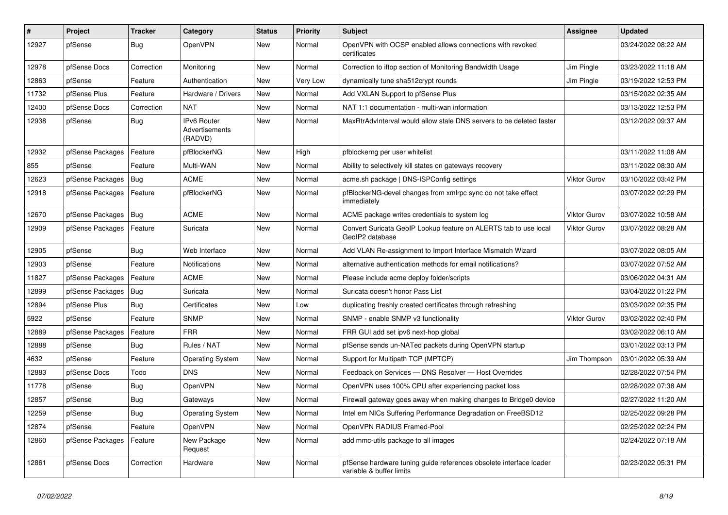| #     | Project          | <b>Tracker</b> | Category                                 | <b>Status</b> | <b>Priority</b> | <b>Subject</b>                                                                                 | <b>Assignee</b> | <b>Updated</b>      |
|-------|------------------|----------------|------------------------------------------|---------------|-----------------|------------------------------------------------------------------------------------------------|-----------------|---------------------|
| 12927 | pfSense          | <b>Bug</b>     | OpenVPN                                  | New           | Normal          | OpenVPN with OCSP enabled allows connections with revoked<br>certificates                      |                 | 03/24/2022 08:22 AM |
| 12978 | pfSense Docs     | Correction     | Monitoring                               | New           | Normal          | Correction to iftop section of Monitoring Bandwidth Usage                                      | Jim Pingle      | 03/23/2022 11:18 AM |
| 12863 | pfSense          | Feature        | Authentication                           | New           | Very Low        | dynamically tune sha512crypt rounds                                                            | Jim Pingle      | 03/19/2022 12:53 PM |
| 11732 | pfSense Plus     | Feature        | Hardware / Drivers                       | New           | Normal          | Add VXLAN Support to pfSense Plus                                                              |                 | 03/15/2022 02:35 AM |
| 12400 | pfSense Docs     | Correction     | <b>NAT</b>                               | New           | Normal          | NAT 1:1 documentation - multi-wan information                                                  |                 | 03/13/2022 12:53 PM |
| 12938 | pfSense          | Bug            | IPv6 Router<br>Advertisements<br>(RADVD) | New           | Normal          | MaxRtrAdvInterval would allow stale DNS servers to be deleted faster                           |                 | 03/12/2022 09:37 AM |
| 12932 | pfSense Packages | Feature        | pfBlockerNG                              | New           | High            | pfblockerng per user whitelist                                                                 |                 | 03/11/2022 11:08 AM |
| 855   | pfSense          | Feature        | Multi-WAN                                | New           | Normal          | Ability to selectively kill states on gateways recovery                                        |                 | 03/11/2022 08:30 AM |
| 12623 | pfSense Packages | Bug            | <b>ACME</b>                              | New           | Normal          | acme.sh package   DNS-ISPConfig settings                                                       | Viktor Gurov    | 03/10/2022 03:42 PM |
| 12918 | pfSense Packages | Feature        | pfBlockerNG                              | New           | Normal          | pfBlockerNG-devel changes from xmlrpc sync do not take effect<br>immediately                   |                 | 03/07/2022 02:29 PM |
| 12670 | pfSense Packages | <b>Bug</b>     | <b>ACME</b>                              | <b>New</b>    | Normal          | ACME package writes credentials to system log                                                  | Viktor Gurov    | 03/07/2022 10:58 AM |
| 12909 | pfSense Packages | Feature        | Suricata                                 | <b>New</b>    | Normal          | Convert Suricata GeoIP Lookup feature on ALERTS tab to use local<br>GeoIP2 database            | Viktor Gurov    | 03/07/2022 08:28 AM |
| 12905 | pfSense          | Bug            | Web Interface                            | New           | Normal          | Add VLAN Re-assignment to Import Interface Mismatch Wizard                                     |                 | 03/07/2022 08:05 AM |
| 12903 | pfSense          | Feature        | Notifications                            | New           | Normal          | alternative authentication methods for email notifications?                                    |                 | 03/07/2022 07:52 AM |
| 11827 | pfSense Packages | Feature        | <b>ACME</b>                              | New           | Normal          | Please include acme deploy folder/scripts                                                      |                 | 03/06/2022 04:31 AM |
| 12899 | pfSense Packages | Bug            | Suricata                                 | New           | Normal          | Suricata doesn't honor Pass List                                                               |                 | 03/04/2022 01:22 PM |
| 12894 | pfSense Plus     | Bug            | Certificates                             | New           | Low             | duplicating freshly created certificates through refreshing                                    |                 | 03/03/2022 02:35 PM |
| 5922  | pfSense          | Feature        | <b>SNMP</b>                              | New           | Normal          | SNMP - enable SNMP v3 functionality                                                            | Viktor Gurov    | 03/02/2022 02:40 PM |
| 12889 | pfSense Packages | Feature        | <b>FRR</b>                               | New           | Normal          | FRR GUI add set ipv6 next-hop global                                                           |                 | 03/02/2022 06:10 AM |
| 12888 | pfSense          | Bug            | Rules / NAT                              | New           | Normal          | pfSense sends un-NATed packets during OpenVPN startup                                          |                 | 03/01/2022 03:13 PM |
| 4632  | pfSense          | Feature        | <b>Operating System</b>                  | New           | Normal          | Support for Multipath TCP (MPTCP)                                                              | Jim Thompson    | 03/01/2022 05:39 AM |
| 12883 | pfSense Docs     | Todo           | <b>DNS</b>                               | New           | Normal          | Feedback on Services - DNS Resolver - Host Overrides                                           |                 | 02/28/2022 07:54 PM |
| 11778 | pfSense          | <b>Bug</b>     | OpenVPN                                  | New           | Normal          | OpenVPN uses 100% CPU after experiencing packet loss                                           |                 | 02/28/2022 07:38 AM |
| 12857 | pfSense          | Bug            | Gateways                                 | New           | Normal          | Firewall gateway goes away when making changes to Bridge0 device                               |                 | 02/27/2022 11:20 AM |
| 12259 | pfSense          | <b>Bug</b>     | Operating System                         | New           | Normal          | Intel em NICs Suffering Performance Degradation on FreeBSD12                                   |                 | 02/25/2022 09:28 PM |
| 12874 | pfSense          | Feature        | OpenVPN                                  | New           | Normal          | OpenVPN RADIUS Framed-Pool                                                                     |                 | 02/25/2022 02:24 PM |
| 12860 | pfSense Packages | Feature        | New Package<br>Request                   | New           | Normal          | add mmc-utils package to all images                                                            |                 | 02/24/2022 07:18 AM |
| 12861 | pfSense Docs     | Correction     | Hardware                                 | New           | Normal          | pfSense hardware tuning guide references obsolete interface loader<br>variable & buffer limits |                 | 02/23/2022 05:31 PM |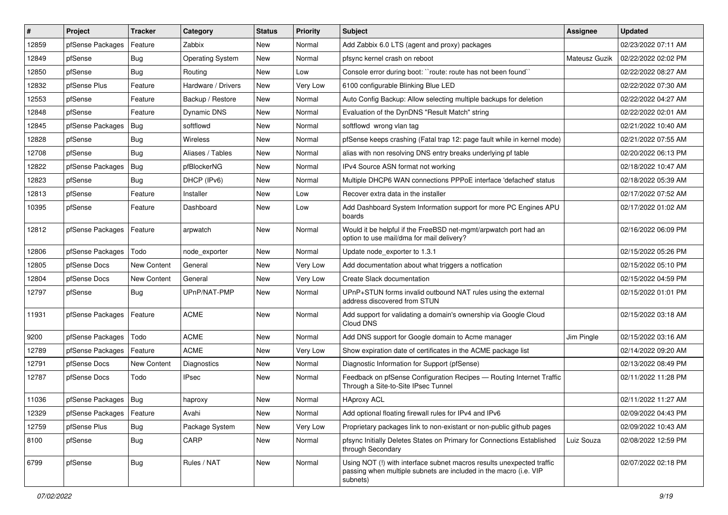| $\vert$ # | Project          | <b>Tracker</b>     | Category                | <b>Status</b> | <b>Priority</b> | Subject                                                                                                                                                | Assignee      | <b>Updated</b>      |
|-----------|------------------|--------------------|-------------------------|---------------|-----------------|--------------------------------------------------------------------------------------------------------------------------------------------------------|---------------|---------------------|
| 12859     | pfSense Packages | Feature            | Zabbix                  | New           | Normal          | Add Zabbix 6.0 LTS (agent and proxy) packages                                                                                                          |               | 02/23/2022 07:11 AM |
| 12849     | pfSense          | <b>Bug</b>         | <b>Operating System</b> | New           | Normal          | pfsync kernel crash on reboot                                                                                                                          | Mateusz Guzik | 02/22/2022 02:02 PM |
| 12850     | pfSense          | <b>Bug</b>         | Routing                 | New           | Low             | Console error during boot: "route: route has not been found"                                                                                           |               | 02/22/2022 08:27 AM |
| 12832     | pfSense Plus     | Feature            | Hardware / Drivers      | New           | Very Low        | 6100 configurable Blinking Blue LED                                                                                                                    |               | 02/22/2022 07:30 AM |
| 12553     | pfSense          | Feature            | Backup / Restore        | New           | Normal          | Auto Config Backup: Allow selecting multiple backups for deletion                                                                                      |               | 02/22/2022 04:27 AM |
| 12848     | pfSense          | Feature            | Dynamic DNS             | New           | Normal          | Evaluation of the DynDNS "Result Match" string                                                                                                         |               | 02/22/2022 02:01 AM |
| 12845     | pfSense Packages | Bug                | softflowd               | New           | Normal          | softflowd wrong vlan tag                                                                                                                               |               | 02/21/2022 10:40 AM |
| 12828     | pfSense          | <b>Bug</b>         | Wireless                | New           | Normal          | pfSense keeps crashing (Fatal trap 12: page fault while in kernel mode)                                                                                |               | 02/21/2022 07:55 AM |
| 12708     | pfSense          | Bug                | Aliases / Tables        | New           | Normal          | alias with non resolving DNS entry breaks underlying pf table                                                                                          |               | 02/20/2022 06:13 PM |
| 12822     | pfSense Packages | Bug                | pfBlockerNG             | New           | Normal          | IPv4 Source ASN format not working                                                                                                                     |               | 02/18/2022 10:47 AM |
| 12823     | pfSense          | <b>Bug</b>         | DHCP (IPv6)             | New           | Normal          | Multiple DHCP6 WAN connections PPPoE interface 'defached' status                                                                                       |               | 02/18/2022 05:39 AM |
| 12813     | pfSense          | Feature            | Installer               | New           | Low             | Recover extra data in the installer                                                                                                                    |               | 02/17/2022 07:52 AM |
| 10395     | pfSense          | Feature            | Dashboard               | New           | Low             | Add Dashboard System Information support for more PC Engines APU<br>boards                                                                             |               | 02/17/2022 01:02 AM |
| 12812     | pfSense Packages | Feature            | arpwatch                | New           | Normal          | Would it be helpful if the FreeBSD net-mgmt/arpwatch port had an<br>option to use mail/dma for mail delivery?                                          |               | 02/16/2022 06:09 PM |
| 12806     | pfSense Packages | Todo               | node exporter           | New           | Normal          | Update node exporter to 1.3.1                                                                                                                          |               | 02/15/2022 05:26 PM |
| 12805     | pfSense Docs     | <b>New Content</b> | General                 | New           | Very Low        | Add documentation about what triggers a notfication                                                                                                    |               | 02/15/2022 05:10 PM |
| 12804     | pfSense Docs     | New Content        | General                 | New           | Very Low        | Create Slack documentation                                                                                                                             |               | 02/15/2022 04:59 PM |
| 12797     | pfSense          | Bug                | UPnP/NAT-PMP            | New           | Normal          | UPnP+STUN forms invalid outbound NAT rules using the external<br>address discovered from STUN                                                          |               | 02/15/2022 01:01 PM |
| 11931     | pfSense Packages | Feature            | <b>ACME</b>             | New           | Normal          | Add support for validating a domain's ownership via Google Cloud<br>Cloud DNS                                                                          |               | 02/15/2022 03:18 AM |
| 9200      | pfSense Packages | Todo               | <b>ACME</b>             | New           | Normal          | Add DNS support for Google domain to Acme manager                                                                                                      | Jim Pingle    | 02/15/2022 03:16 AM |
| 12789     | pfSense Packages | Feature            | <b>ACME</b>             | New           | Very Low        | Show expiration date of certificates in the ACME package list                                                                                          |               | 02/14/2022 09:20 AM |
| 12791     | pfSense Docs     | <b>New Content</b> | Diagnostics             | New           | Normal          | Diagnostic Information for Support (pfSense)                                                                                                           |               | 02/13/2022 08:49 PM |
| 12787     | pfSense Docs     | Todo               | <b>IPsec</b>            | New           | Normal          | Feedback on pfSense Configuration Recipes - Routing Internet Traffic<br>Through a Site-to-Site IPsec Tunnel                                            |               | 02/11/2022 11:28 PM |
| 11036     | pfSense Packages | Bug                | haproxy                 | New           | Normal          | <b>HAproxy ACL</b>                                                                                                                                     |               | 02/11/2022 11:27 AM |
| 12329     | pfSense Packages | Feature            | Avahi                   | New           | Normal          | Add optional floating firewall rules for IPv4 and IPv6                                                                                                 |               | 02/09/2022 04:43 PM |
| 12759     | pfSense Plus     | <b>Bug</b>         | Package System          | New           | Very Low        | Proprietary packages link to non-existant or non-public github pages                                                                                   |               | 02/09/2022 10:43 AM |
| 8100      | pfSense          | <b>Bug</b>         | CARP                    | New           | Normal          | pfsync Initially Deletes States on Primary for Connections Established<br>through Secondary                                                            | Luiz Souza    | 02/08/2022 12:59 PM |
| 6799      | pfSense          | <b>Bug</b>         | Rules / NAT             | New           | Normal          | Using NOT (!) with interface subnet macros results unexpected traffic<br>passing when multiple subnets are included in the macro (i.e. VIP<br>subnets) |               | 02/07/2022 02:18 PM |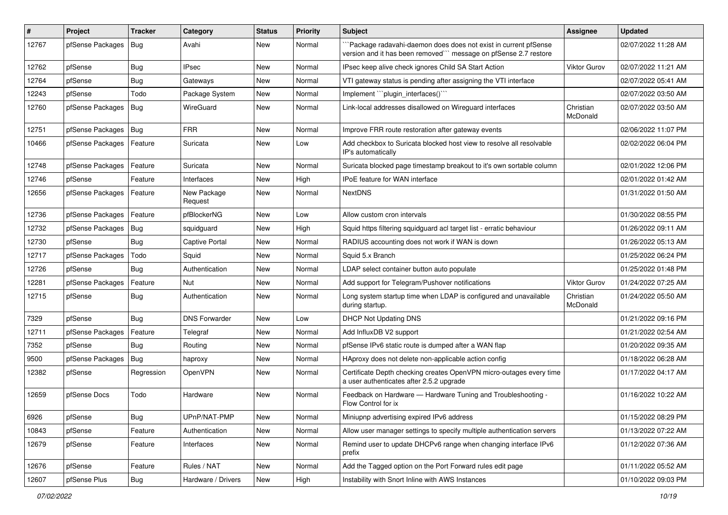| $\#$  | Project          | <b>Tracker</b> | Category               | <b>Status</b> | <b>Priority</b> | <b>Subject</b>                                                                                                                      | Assignee              | <b>Updated</b>      |
|-------|------------------|----------------|------------------------|---------------|-----------------|-------------------------------------------------------------------------------------------------------------------------------------|-----------------------|---------------------|
| 12767 | pfSense Packages | Bug            | Avahi                  | New           | Normal          | `Package radavahi-daemon does does not exist in current pfSense<br>version and it has been removed"" message on pfSense 2.7 restore |                       | 02/07/2022 11:28 AM |
| 12762 | pfSense          | Bug            | IPsec                  | <b>New</b>    | Normal          | IPsec keep alive check ignores Child SA Start Action                                                                                | <b>Viktor Gurov</b>   | 02/07/2022 11:21 AM |
| 12764 | pfSense          | Bug            | Gateways               | New           | Normal          | VTI gateway status is pending after assigning the VTI interface                                                                     |                       | 02/07/2022 05:41 AM |
| 12243 | pfSense          | Todo           | Package System         | <b>New</b>    | Normal          | Implement "``plugin_interfaces()``                                                                                                  |                       | 02/07/2022 03:50 AM |
| 12760 | pfSense Packages | Bug            | WireGuard              | New           | Normal          | Link-local addresses disallowed on Wireguard interfaces                                                                             | Christian<br>McDonald | 02/07/2022 03:50 AM |
| 12751 | pfSense Packages | Bug            | <b>FRR</b>             | New           | Normal          | Improve FRR route restoration after gateway events                                                                                  |                       | 02/06/2022 11:07 PM |
| 10466 | pfSense Packages | Feature        | Suricata               | New           | Low             | Add checkbox to Suricata blocked host view to resolve all resolvable<br>IP's automatically                                          |                       | 02/02/2022 06:04 PM |
| 12748 | pfSense Packages | Feature        | Suricata               | New           | Normal          | Suricata blocked page timestamp breakout to it's own sortable column                                                                |                       | 02/01/2022 12:06 PM |
| 12746 | pfSense          | Feature        | Interfaces             | New           | High            | <b>IPoE</b> feature for WAN interface                                                                                               |                       | 02/01/2022 01:42 AM |
| 12656 | pfSense Packages | Feature        | New Package<br>Request | <b>New</b>    | Normal          | <b>NextDNS</b>                                                                                                                      |                       | 01/31/2022 01:50 AM |
| 12736 | pfSense Packages | Feature        | pfBlockerNG            | <b>New</b>    | Low             | Allow custom cron intervals                                                                                                         |                       | 01/30/2022 08:55 PM |
| 12732 | pfSense Packages | <b>Bug</b>     | squidguard             | New           | High            | Squid https filtering squidguard acl target list - erratic behaviour                                                                |                       | 01/26/2022 09:11 AM |
| 12730 | pfSense          | Bug            | Captive Portal         | New           | Normal          | RADIUS accounting does not work if WAN is down                                                                                      |                       | 01/26/2022 05:13 AM |
| 12717 | pfSense Packages | Todo           | Squid                  | <b>New</b>    | Normal          | Squid 5.x Branch                                                                                                                    |                       | 01/25/2022 06:24 PM |
| 12726 | pfSense          | Bug            | Authentication         | New           | Normal          | LDAP select container button auto populate                                                                                          |                       | 01/25/2022 01:48 PM |
| 12281 | pfSense Packages | Feature        | Nut                    | New           | Normal          | Add support for Telegram/Pushover notifications                                                                                     | <b>Viktor Gurov</b>   | 01/24/2022 07:25 AM |
| 12715 | pfSense          | <b>Bug</b>     | Authentication         | New           | Normal          | Long system startup time when LDAP is configured and unavailable<br>during startup.                                                 | Christian<br>McDonald | 01/24/2022 05:50 AM |
| 7329  | pfSense          | Bug            | <b>DNS Forwarder</b>   | <b>New</b>    | Low             | <b>DHCP Not Updating DNS</b>                                                                                                        |                       | 01/21/2022 09:16 PM |
| 12711 | pfSense Packages | Feature        | Telegraf               | New           | Normal          | Add InfluxDB V2 support                                                                                                             |                       | 01/21/2022 02:54 AM |
| 7352  | pfSense          | <b>Bug</b>     | Routing                | New           | Normal          | pfSense IPv6 static route is dumped after a WAN flap                                                                                |                       | 01/20/2022 09:35 AM |
| 9500  | pfSense Packages | Bug            | haproxy                | <b>New</b>    | Normal          | HAproxy does not delete non-applicable action config                                                                                |                       | 01/18/2022 06:28 AM |
| 12382 | pfSense          | Regression     | OpenVPN                | <b>New</b>    | Normal          | Certificate Depth checking creates OpenVPN micro-outages every time<br>a user authenticates after 2.5.2 upgrade                     |                       | 01/17/2022 04:17 AM |
| 12659 | pfSense Docs     | Todo           | Hardware               | <b>New</b>    | Normal          | Feedback on Hardware - Hardware Tuning and Troubleshooting -<br>Flow Control for ix                                                 |                       | 01/16/2022 10:22 AM |
| 6926  | pfSense          | Bug            | UPnP/NAT-PMP           | New           | Normal          | Miniupnp advertising expired IPv6 address                                                                                           |                       | 01/15/2022 08:29 PM |
| 10843 | pfSense          | Feature        | Authentication         | New           | Normal          | Allow user manager settings to specify multiple authentication servers                                                              |                       | 01/13/2022 07:22 AM |
| 12679 | pfSense          | Feature        | Interfaces             | New           | Normal          | Remind user to update DHCPv6 range when changing interface IPv6<br>prefix                                                           |                       | 01/12/2022 07:36 AM |
| 12676 | pfSense          | Feature        | Rules / NAT            | New           | Normal          | Add the Tagged option on the Port Forward rules edit page                                                                           |                       | 01/11/2022 05:52 AM |
| 12607 | pfSense Plus     | Bug            | Hardware / Drivers     | New           | High            | Instability with Snort Inline with AWS Instances                                                                                    |                       | 01/10/2022 09:03 PM |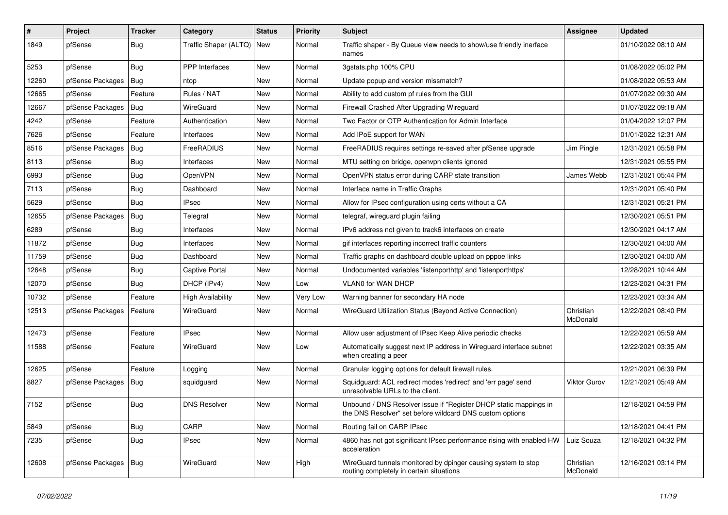| $\vert$ # | Project          | <b>Tracker</b> | Category                 | <b>Status</b> | <b>Priority</b> | Subject                                                                                                                       | <b>Assignee</b>       | <b>Updated</b>      |
|-----------|------------------|----------------|--------------------------|---------------|-----------------|-------------------------------------------------------------------------------------------------------------------------------|-----------------------|---------------------|
| 1849      | pfSense          | <b>Bug</b>     | Traffic Shaper (ALTQ)    | New           | Normal          | Traffic shaper - By Queue view needs to show/use friendly inerface<br>names                                                   |                       | 01/10/2022 08:10 AM |
| 5253      | pfSense          | Bug            | <b>PPP</b> Interfaces    | New           | Normal          | 3gstats.php 100% CPU                                                                                                          |                       | 01/08/2022 05:02 PM |
| 12260     | pfSense Packages | Bug            | ntop                     | New           | Normal          | Update popup and version missmatch?                                                                                           |                       | 01/08/2022 05:53 AM |
| 12665     | pfSense          | Feature        | Rules / NAT              | New           | Normal          | Ability to add custom pf rules from the GUI                                                                                   |                       | 01/07/2022 09:30 AM |
| 12667     | pfSense Packages | Bug            | WireGuard                | New           | Normal          | Firewall Crashed After Upgrading Wireguard                                                                                    |                       | 01/07/2022 09:18 AM |
| 4242      | pfSense          | Feature        | Authentication           | New           | Normal          | Two Factor or OTP Authentication for Admin Interface                                                                          |                       | 01/04/2022 12:07 PM |
| 7626      | pfSense          | Feature        | Interfaces               | New           | Normal          | Add IPoE support for WAN                                                                                                      |                       | 01/01/2022 12:31 AM |
| 8516      | pfSense Packages | Bug            | FreeRADIUS               | New           | Normal          | FreeRADIUS requires settings re-saved after pfSense upgrade                                                                   | Jim Pingle            | 12/31/2021 05:58 PM |
| 8113      | pfSense          | Bug            | Interfaces               | New           | Normal          | MTU setting on bridge, openvpn clients ignored                                                                                |                       | 12/31/2021 05:55 PM |
| 6993      | pfSense          | <b>Bug</b>     | OpenVPN                  | New           | Normal          | OpenVPN status error during CARP state transition                                                                             | James Webb            | 12/31/2021 05:44 PM |
| 7113      | pfSense          | <b>Bug</b>     | Dashboard                | New           | Normal          | Interface name in Traffic Graphs                                                                                              |                       | 12/31/2021 05:40 PM |
| 5629      | pfSense          | Bug            | <b>IPsec</b>             | New           | Normal          | Allow for IPsec configuration using certs without a CA                                                                        |                       | 12/31/2021 05:21 PM |
| 12655     | pfSense Packages | Bug            | Telegraf                 | New           | Normal          | telegraf, wireguard plugin failing                                                                                            |                       | 12/30/2021 05:51 PM |
| 6289      | pfSense          | <b>Bug</b>     | Interfaces               | New           | Normal          | IPv6 address not given to track6 interfaces on create                                                                         |                       | 12/30/2021 04:17 AM |
| 11872     | pfSense          | <b>Bug</b>     | Interfaces               | New           | Normal          | gif interfaces reporting incorrect traffic counters                                                                           |                       | 12/30/2021 04:00 AM |
| 11759     | pfSense          | <b>Bug</b>     | Dashboard                | New           | Normal          | Traffic graphs on dashboard double upload on pppoe links                                                                      |                       | 12/30/2021 04:00 AM |
| 12648     | pfSense          | <b>Bug</b>     | Captive Portal           | New           | Normal          | Undocumented variables 'listenporthttp' and 'listenporthttps'                                                                 |                       | 12/28/2021 10:44 AM |
| 12070     | pfSense          | <b>Bug</b>     | DHCP (IPv4)              | New           | Low             | VLAN0 for WAN DHCP                                                                                                            |                       | 12/23/2021 04:31 PM |
| 10732     | pfSense          | Feature        | <b>High Availability</b> | New           | Very Low        | Warning banner for secondary HA node                                                                                          |                       | 12/23/2021 03:34 AM |
| 12513     | pfSense Packages | Feature        | WireGuard                | New           | Normal          | WireGuard Utilization Status (Beyond Active Connection)                                                                       | Christian<br>McDonald | 12/22/2021 08:40 PM |
| 12473     | pfSense          | Feature        | <b>IPsec</b>             | <b>New</b>    | Normal          | Allow user adjustment of IPsec Keep Alive periodic checks                                                                     |                       | 12/22/2021 05:59 AM |
| 11588     | pfSense          | Feature        | WireGuard                | New           | Low             | Automatically suggest next IP address in Wireguard interface subnet<br>when creating a peer                                   |                       | 12/22/2021 03:35 AM |
| 12625     | pfSense          | Feature        | Logging                  | <b>New</b>    | Normal          | Granular logging options for default firewall rules.                                                                          |                       | 12/21/2021 06:39 PM |
| 8827      | pfSense Packages | Bug            | squidguard               | New           | Normal          | Squidguard: ACL redirect modes 'redirect' and 'err page' send<br>unresolvable URLs to the client.                             | Viktor Gurov          | 12/21/2021 05:49 AM |
| 7152      | pfSense          | <b>Bug</b>     | <b>DNS Resolver</b>      | New           | Normal          | Unbound / DNS Resolver issue if "Register DHCP static mappings in<br>the DNS Resolver" set before wildcard DNS custom options |                       | 12/18/2021 04:59 PM |
| 5849      | pfSense          | <b>Bug</b>     | CARP                     | <b>New</b>    | Normal          | Routing fail on CARP IPsec                                                                                                    |                       | 12/18/2021 04:41 PM |
| 7235      | pfSense          | <b>Bug</b>     | <b>IPsec</b>             | New           | Normal          | 4860 has not got significant IPsec performance rising with enabled HW<br>acceleration                                         | Luiz Souza            | 12/18/2021 04:32 PM |
| 12608     | pfSense Packages | Bug            | WireGuard                | New           | High            | WireGuard tunnels monitored by dpinger causing system to stop<br>routing completely in certain situations                     | Christian<br>McDonald | 12/16/2021 03:14 PM |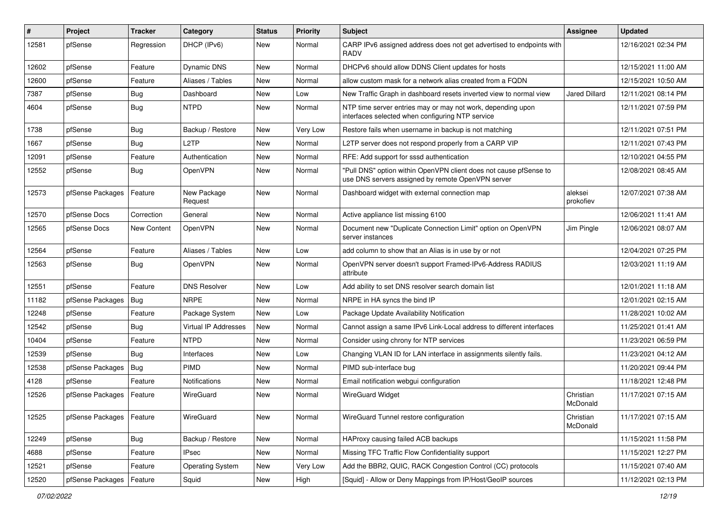| $\sharp$ | Project                    | <b>Tracker</b>     | Category                | <b>Status</b> | <b>Priority</b> | Subject                                                                                                                | <b>Assignee</b>       | <b>Updated</b>      |
|----------|----------------------------|--------------------|-------------------------|---------------|-----------------|------------------------------------------------------------------------------------------------------------------------|-----------------------|---------------------|
| 12581    | pfSense                    | Regression         | DHCP (IPv6)             | New           | Normal          | CARP IPv6 assigned address does not get advertised to endpoints with<br><b>RADV</b>                                    |                       | 12/16/2021 02:34 PM |
| 12602    | pfSense                    | Feature            | Dynamic DNS             | New           | Normal          | DHCPv6 should allow DDNS Client updates for hosts                                                                      |                       | 12/15/2021 11:00 AM |
| 12600    | pfSense                    | Feature            | Aliases / Tables        | New           | Normal          | allow custom mask for a network alias created from a FQDN                                                              |                       | 12/15/2021 10:50 AM |
| 7387     | pfSense                    | Bug                | Dashboard               | <b>New</b>    | Low             | New Traffic Graph in dashboard resets inverted view to normal view                                                     | <b>Jared Dillard</b>  | 12/11/2021 08:14 PM |
| 4604     | pfSense                    | <b>Bug</b>         | <b>NTPD</b>             | New           | Normal          | NTP time server entries may or may not work, depending upon<br>interfaces selected when configuring NTP service        |                       | 12/11/2021 07:59 PM |
| 1738     | pfSense                    | Bug                | Backup / Restore        | New           | Very Low        | Restore fails when username in backup is not matching                                                                  |                       | 12/11/2021 07:51 PM |
| 1667     | pfSense                    | <b>Bug</b>         | L <sub>2</sub> TP       | New           | Normal          | L2TP server does not respond properly from a CARP VIP                                                                  |                       | 12/11/2021 07:43 PM |
| 12091    | pfSense                    | Feature            | Authentication          | New           | Normal          | RFE: Add support for sssd authentication                                                                               |                       | 12/10/2021 04:55 PM |
| 12552    | pfSense                    | Bug                | OpenVPN                 | New           | Normal          | "Pull DNS" option within OpenVPN client does not cause pfSense to<br>use DNS servers assigned by remote OpenVPN server |                       | 12/08/2021 08:45 AM |
| 12573    | pfSense Packages           | Feature            | New Package<br>Request  | <b>New</b>    | Normal          | Dashboard widget with external connection map                                                                          | aleksei<br>prokofiev  | 12/07/2021 07:38 AM |
| 12570    | pfSense Docs               | Correction         | General                 | New           | Normal          | Active appliance list missing 6100                                                                                     |                       | 12/06/2021 11:41 AM |
| 12565    | pfSense Docs               | <b>New Content</b> | OpenVPN                 | New           | Normal          | Document new "Duplicate Connection Limit" option on OpenVPN<br>server instances                                        | Jim Pingle            | 12/06/2021 08:07 AM |
| 12564    | pfSense                    | Feature            | Aliases / Tables        | New           | Low             | add column to show that an Alias is in use by or not                                                                   |                       | 12/04/2021 07:25 PM |
| 12563    | pfSense                    | <b>Bug</b>         | OpenVPN                 | New           | Normal          | OpenVPN server doesn't support Framed-IPv6-Address RADIUS<br>attribute                                                 |                       | 12/03/2021 11:19 AM |
| 12551    | pfSense                    | Feature            | <b>DNS Resolver</b>     | <b>New</b>    | Low             | Add ability to set DNS resolver search domain list                                                                     |                       | 12/01/2021 11:18 AM |
| 11182    | pfSense Packages           | Bug                | <b>NRPE</b>             | New           | Normal          | NRPE in HA syncs the bind IP                                                                                           |                       | 12/01/2021 02:15 AM |
| 12248    | pfSense                    | Feature            | Package System          | New           | Low             | Package Update Availability Notification                                                                               |                       | 11/28/2021 10:02 AM |
| 12542    | pfSense                    | Bug                | Virtual IP Addresses    | New           | Normal          | Cannot assign a same IPv6 Link-Local address to different interfaces                                                   |                       | 11/25/2021 01:41 AM |
| 10404    | pfSense                    | Feature            | <b>NTPD</b>             | New           | Normal          | Consider using chrony for NTP services                                                                                 |                       | 11/23/2021 06:59 PM |
| 12539    | pfSense                    | Bug                | Interfaces              | New           | Low             | Changing VLAN ID for LAN interface in assignments silently fails.                                                      |                       | 11/23/2021 04:12 AM |
| 12538    | pfSense Packages           | Bug                | <b>PIMD</b>             | New           | Normal          | PIMD sub-interface bug                                                                                                 |                       | 11/20/2021 09:44 PM |
| 4128     | pfSense                    | Feature            | <b>Notifications</b>    | New           | Normal          | Email notification webgui configuration                                                                                |                       | 11/18/2021 12:48 PM |
| 12526    | pfSense Packages           | Feature            | WireGuard               | New           | Normal          | <b>WireGuard Widget</b>                                                                                                | Christian<br>McDonald | 11/17/2021 07:15 AM |
| 12525    | pfSense Packages   Feature |                    | WireGuard               | New           | Normal          | WireGuard Tunnel restore configuration                                                                                 | Christian<br>McDonald | 11/17/2021 07:15 AM |
| 12249    | pfSense                    | <b>Bug</b>         | Backup / Restore        | New           | Normal          | HAProxy causing failed ACB backups                                                                                     |                       | 11/15/2021 11:58 PM |
| 4688     | pfSense                    | Feature            | <b>IPsec</b>            | New           | Normal          | Missing TFC Traffic Flow Confidentiality support                                                                       |                       | 11/15/2021 12:27 PM |
| 12521    | pfSense                    | Feature            | <b>Operating System</b> | New           | Very Low        | Add the BBR2, QUIC, RACK Congestion Control (CC) protocols                                                             |                       | 11/15/2021 07:40 AM |
| 12520    | pfSense Packages           | Feature            | Squid                   | New           | High            | [Squid] - Allow or Deny Mappings from IP/Host/GeoIP sources                                                            |                       | 11/12/2021 02:13 PM |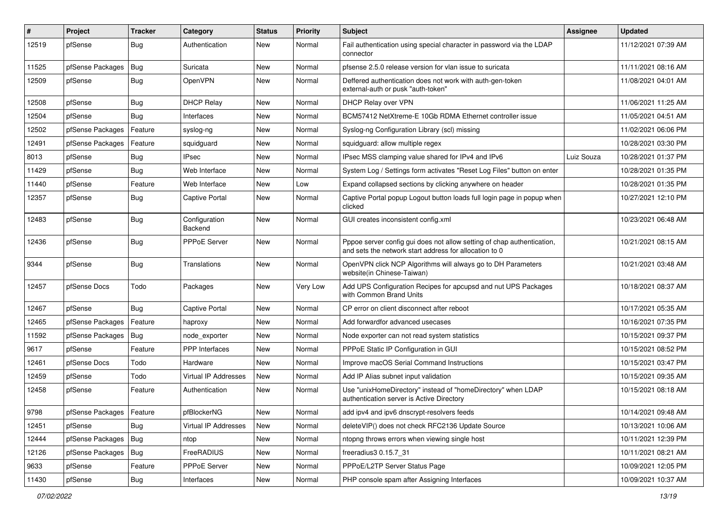| #     | Project                    | <b>Tracker</b> | Category                        | <b>Status</b> | <b>Priority</b> | <b>Subject</b>                                                                                                                   | <b>Assignee</b> | <b>Updated</b>      |
|-------|----------------------------|----------------|---------------------------------|---------------|-----------------|----------------------------------------------------------------------------------------------------------------------------------|-----------------|---------------------|
| 12519 | pfSense                    | <b>Bug</b>     | Authentication                  | New           | Normal          | Fail authentication using special character in password via the LDAP<br>connector                                                |                 | 11/12/2021 07:39 AM |
| 11525 | pfSense Packages           | Bug            | Suricata                        | New           | Normal          | pfsense 2.5.0 release version for vlan issue to suricata                                                                         |                 | 11/11/2021 08:16 AM |
| 12509 | pfSense                    | Bug            | OpenVPN                         | New           | Normal          | Deffered authentication does not work with auth-gen-token<br>external-auth or pusk "auth-token"                                  |                 | 11/08/2021 04:01 AM |
| 12508 | pfSense                    | <b>Bug</b>     | <b>DHCP Relay</b>               | New           | Normal          | DHCP Relay over VPN                                                                                                              |                 | 11/06/2021 11:25 AM |
| 12504 | pfSense                    | Bug            | Interfaces                      | New           | Normal          | BCM57412 NetXtreme-E 10Gb RDMA Ethernet controller issue                                                                         |                 | 11/05/2021 04:51 AM |
| 12502 | pfSense Packages           | Feature        | syslog-ng                       | New           | Normal          | Syslog-ng Configuration Library (scl) missing                                                                                    |                 | 11/02/2021 06:06 PM |
| 12491 | pfSense Packages           | Feature        | squidguard                      | New           | Normal          | squidguard: allow multiple regex                                                                                                 |                 | 10/28/2021 03:30 PM |
| 8013  | pfSense                    | Bug            | IPsec                           | New           | Normal          | IPsec MSS clamping value shared for IPv4 and IPv6                                                                                | Luiz Souza      | 10/28/2021 01:37 PM |
| 11429 | pfSense                    | Bug            | Web Interface                   | New           | Normal          | System Log / Settings form activates "Reset Log Files" button on enter                                                           |                 | 10/28/2021 01:35 PM |
| 11440 | pfSense                    | Feature        | Web Interface                   | New           | Low             | Expand collapsed sections by clicking anywhere on header                                                                         |                 | 10/28/2021 01:35 PM |
| 12357 | pfSense                    | <b>Bug</b>     | <b>Captive Portal</b>           | <b>New</b>    | Normal          | Captive Portal popup Logout button loads full login page in popup when<br>clicked                                                |                 | 10/27/2021 12:10 PM |
| 12483 | pfSense                    | Bug            | Configuration<br><b>Backend</b> | New           | Normal          | GUI creates inconsistent config.xml                                                                                              |                 | 10/23/2021 06:48 AM |
| 12436 | pfSense                    | <b>Bug</b>     | PPPoE Server                    | New           | Normal          | Pppoe server config gui does not allow setting of chap authentication,<br>and sets the network start address for allocation to 0 |                 | 10/21/2021 08:15 AM |
| 9344  | pfSense                    | Bug            | Translations                    | New           | Normal          | OpenVPN click NCP Algorithms will always go to DH Parameters<br>website(in Chinese-Taiwan)                                       |                 | 10/21/2021 03:48 AM |
| 12457 | pfSense Docs               | Todo           | Packages                        | <b>New</b>    | Very Low        | Add UPS Configuration Recipes for apcupsd and nut UPS Packages<br>with Common Brand Units                                        |                 | 10/18/2021 08:37 AM |
| 12467 | pfSense                    | Bug            | Captive Portal                  | New           | Normal          | CP error on client disconnect after reboot                                                                                       |                 | 10/17/2021 05:35 AM |
| 12465 | pfSense Packages           | Feature        | haproxy                         | <b>New</b>    | Normal          | Add forwardfor advanced usecases                                                                                                 |                 | 10/16/2021 07:35 PM |
| 11592 | pfSense Packages           | Bug            | node exporter                   | New           | Normal          | Node exporter can not read system statistics                                                                                     |                 | 10/15/2021 09:37 PM |
| 9617  | pfSense                    | Feature        | <b>PPP</b> Interfaces           | New           | Normal          | PPPoE Static IP Configuration in GUI                                                                                             |                 | 10/15/2021 08:52 PM |
| 12461 | pfSense Docs               | Todo           | Hardware                        | New           | Normal          | Improve macOS Serial Command Instructions                                                                                        |                 | 10/15/2021 03:47 PM |
| 12459 | pfSense                    | Todo           | <b>Virtual IP Addresses</b>     | <b>New</b>    | Normal          | Add IP Alias subnet input validation                                                                                             |                 | 10/15/2021 09:35 AM |
| 12458 | pfSense                    | Feature        | Authentication                  | New           | Normal          | Use "unixHomeDirectory" instead of "homeDirectory" when LDAP<br>authentication server is Active Directory                        |                 | 10/15/2021 08:18 AM |
| 9798  | pfSense Packages   Feature |                | pfBlockerNG                     | New           | Normal          | add ipv4 and ipv6 dnscrypt-resolvers feeds                                                                                       |                 | 10/14/2021 09:48 AM |
| 12451 | pfSense                    | Bug            | Virtual IP Addresses            | New           | Normal          | deleteVIP() does not check RFC2136 Update Source                                                                                 |                 | 10/13/2021 10:06 AM |
| 12444 | pfSense Packages   Bug     |                | ntop                            | New           | Normal          | ntopng throws errors when viewing single host                                                                                    |                 | 10/11/2021 12:39 PM |
| 12126 | pfSense Packages   Bug     |                | FreeRADIUS                      | New           | Normal          | freeradius3 0.15.7_31                                                                                                            |                 | 10/11/2021 08:21 AM |
| 9633  | pfSense                    | Feature        | PPPoE Server                    | New           | Normal          | PPPoE/L2TP Server Status Page                                                                                                    |                 | 10/09/2021 12:05 PM |
| 11430 | pfSense                    | Bug            | Interfaces                      | New           | Normal          | PHP console spam after Assigning Interfaces                                                                                      |                 | 10/09/2021 10:37 AM |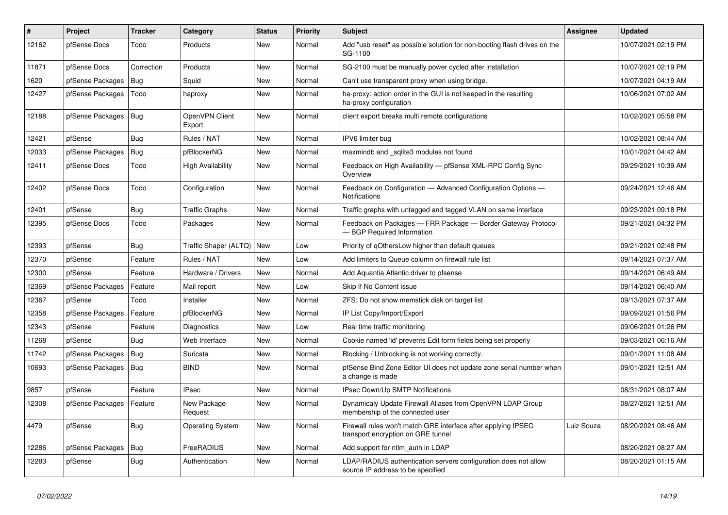| ∦     | <b>Project</b>         | <b>Tracker</b> | Category                 | <b>Status</b> | <b>Priority</b> | <b>Subject</b>                                                                                       | <b>Assignee</b> | <b>Updated</b>      |
|-------|------------------------|----------------|--------------------------|---------------|-----------------|------------------------------------------------------------------------------------------------------|-----------------|---------------------|
| 12162 | pfSense Docs           | Todo           | Products                 | New           | Normal          | Add "usb reset" as possible solution for non-booting flash drives on the<br>SG-1100                  |                 | 10/07/2021 02:19 PM |
| 11871 | pfSense Docs           | Correction     | Products                 | New           | Normal          | SG-2100 must be manually power cycled after installation                                             |                 | 10/07/2021 02:19 PM |
| 1620  | pfSense Packages       | Bug            | Squid                    | New           | Normal          | Can't use transparent proxy when using bridge.                                                       |                 | 10/07/2021 04:19 AM |
| 12427 | pfSense Packages       | Todo           | haproxy                  | New           | Normal          | ha-proxy: action order in the GUI is not keeped in the resulting<br>ha-proxy configuration           |                 | 10/06/2021 07:02 AM |
| 12188 | pfSense Packages       | <b>Bug</b>     | OpenVPN Client<br>Export | <b>New</b>    | Normal          | client export breaks multi remote configurations                                                     |                 | 10/02/2021 05:58 PM |
| 12421 | pfSense                | Bug            | Rules / NAT              | New           | Normal          | IPV6 limiter bug                                                                                     |                 | 10/02/2021 08:44 AM |
| 12033 | pfSense Packages       | Bug            | pfBlockerNG              | New           | Normal          | maxmindb and sqlite3 modules not found                                                               |                 | 10/01/2021 04:42 AM |
| 12411 | pfSense Docs           | Todo           | <b>High Availability</b> | New           | Normal          | Feedback on High Availability - pfSense XML-RPC Config Sync<br>Overview                              |                 | 09/29/2021 10:39 AM |
| 12402 | pfSense Docs           | Todo           | Configuration            | New           | Normal          | Feedback on Configuration - Advanced Configuration Options -<br><b>Notifications</b>                 |                 | 09/24/2021 12:46 AM |
| 12401 | pfSense                | <b>Bug</b>     | <b>Traffic Graphs</b>    | <b>New</b>    | Normal          | Traffic graphs with untagged and tagged VLAN on same interface                                       |                 | 09/23/2021 09:18 PM |
| 12395 | pfSense Docs           | Todo           | Packages                 | New           | Normal          | Feedback on Packages - FRR Package - Border Gateway Protocol<br><b>BGP Required Information</b>      |                 | 09/21/2021 04:32 PM |
| 12393 | pfSense                | <b>Bug</b>     | Traffic Shaper (ALTQ)    | New           | Low             | Priority of gOthersLow higher than default queues                                                    |                 | 09/21/2021 02:48 PM |
| 12370 | pfSense                | Feature        | Rules / NAT              | New           | Low             | Add limiters to Queue column on firewall rule list                                                   |                 | 09/14/2021 07:37 AM |
| 12300 | pfSense                | Feature        | Hardware / Drivers       | New           | Normal          | Add Aquantia Atlantic driver to pfsense                                                              |                 | 09/14/2021 06:49 AM |
| 12369 | pfSense Packages       | Feature        | Mail report              | New           | Low             | Skip If No Content issue                                                                             |                 | 09/14/2021 06:40 AM |
| 12367 | pfSense                | Todo           | Installer                | New           | Normal          | ZFS: Do not show memstick disk on target list                                                        |                 | 09/13/2021 07:37 AM |
| 12358 | pfSense Packages       | Feature        | pfBlockerNG              | New           | Normal          | IP List Copy/Import/Export                                                                           |                 | 09/09/2021 01:56 PM |
| 12343 | pfSense                | Feature        | Diagnostics              | New           | Low             | Real time traffic monitoring                                                                         |                 | 09/06/2021 01:26 PM |
| 11268 | pfSense                | <b>Bug</b>     | Web Interface            | New           | Normal          | Cookie named 'id' prevents Edit form fields being set properly                                       |                 | 09/03/2021 06:16 AM |
| 11742 | pfSense Packages       | <b>Bug</b>     | Suricata                 | New           | Normal          | Blocking / Unblocking is not working correctly.                                                      |                 | 09/01/2021 11:08 AM |
| 10693 | pfSense Packages   Bug |                | <b>BIND</b>              | New           | Normal          | pfSense Bind Zone Editor UI does not update zone serial number when<br>a change is made              |                 | 09/01/2021 12:51 AM |
| 9857  | pfSense                | Feature        | <b>IPsec</b>             | <b>New</b>    | Normal          | IPsec Down/Up SMTP Notifications                                                                     |                 | 08/31/2021 08:07 AM |
| 12308 | pfSense Packages       | Feature        | New Package<br>Request   | New           | Normal          | Dynamicaly Update Firewall Aliases from OpenVPN LDAP Group<br>membership of the connected user       |                 | 08/27/2021 12:51 AM |
| 4479  | pfSense                | <b>Bug</b>     | <b>Operating System</b>  | New           | Normal          | Firewall rules won't match GRE interface after applying IPSEC<br>transport encryption on GRE tunnel  | Luiz Souza      | 08/20/2021 08:46 AM |
| 12286 | pfSense Packages       | <b>Bug</b>     | FreeRADIUS               | New           | Normal          | Add support for ntlm_auth in LDAP                                                                    |                 | 08/20/2021 08:27 AM |
| 12283 | pfSense                | Bug            | Authentication           | New           | Normal          | LDAP/RADIUS authentication servers configuration does not allow<br>source IP address to be specified |                 | 08/20/2021 01:15 AM |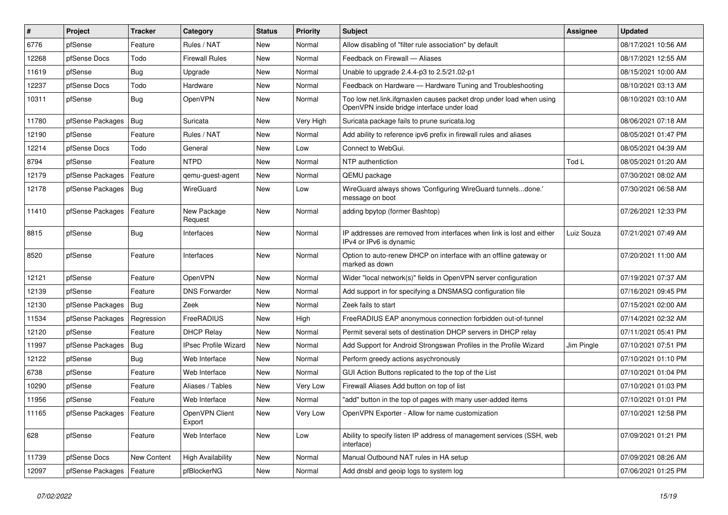| $\vert$ # | Project                    | <b>Tracker</b>     | Category                    | <b>Status</b> | <b>Priority</b> | <b>Subject</b>                                                                                                    | <b>Assignee</b> | <b>Updated</b>      |
|-----------|----------------------------|--------------------|-----------------------------|---------------|-----------------|-------------------------------------------------------------------------------------------------------------------|-----------------|---------------------|
| 6776      | pfSense                    | Feature            | Rules / NAT                 | New           | Normal          | Allow disabling of "filter rule association" by default                                                           |                 | 08/17/2021 10:56 AM |
| 12268     | pfSense Docs               | Todo               | Firewall Rules              | New           | Normal          | Feedback on Firewall - Aliases                                                                                    |                 | 08/17/2021 12:55 AM |
| 11619     | pfSense                    | <b>Bug</b>         | Upgrade                     | New           | Normal          | Unable to upgrade 2.4.4-p3 to 2.5/21.02-p1                                                                        |                 | 08/15/2021 10:00 AM |
| 12237     | pfSense Docs               | Todo               | Hardware                    | New           | Normal          | Feedback on Hardware - Hardware Tuning and Troubleshooting                                                        |                 | 08/10/2021 03:13 AM |
| 10311     | pfSense                    | Bug                | OpenVPN                     | New           | Normal          | Too low net.link.ifqmaxlen causes packet drop under load when using<br>OpenVPN inside bridge interface under load |                 | 08/10/2021 03:10 AM |
| 11780     | pfSense Packages           | Bug                | Suricata                    | New           | Very High       | Suricata package fails to prune suricata.log                                                                      |                 | 08/06/2021 07:18 AM |
| 12190     | pfSense                    | Feature            | Rules / NAT                 | New           | Normal          | Add ability to reference ipv6 prefix in firewall rules and aliases                                                |                 | 08/05/2021 01:47 PM |
| 12214     | pfSense Docs               | Todo               | General                     | New           | Low             | Connect to WebGui.                                                                                                |                 | 08/05/2021 04:39 AM |
| 8794      | pfSense                    | Feature            | <b>NTPD</b>                 | New           | Normal          | NTP authentiction                                                                                                 | Tod L           | 08/05/2021 01:20 AM |
| 12179     | pfSense Packages           | Feature            | qemu-guest-agent            | New           | Normal          | QEMU package                                                                                                      |                 | 07/30/2021 08:02 AM |
| 12178     | pfSense Packages           | $ $ Bug            | WireGuard                   | New           | Low             | WireGuard always shows 'Configuring WireGuard tunnelsdone.'<br>message on boot                                    |                 | 07/30/2021 06:58 AM |
| 11410     | pfSense Packages           | Feature            | New Package<br>Request      | New           | Normal          | adding bpytop (former Bashtop)                                                                                    |                 | 07/26/2021 12:33 PM |
| 8815      | pfSense                    | Bug                | Interfaces                  | New           | Normal          | IP addresses are removed from interfaces when link is lost and either<br>IPv4 or IPv6 is dynamic                  | Luiz Souza      | 07/21/2021 07:49 AM |
| 8520      | pfSense                    | Feature            | Interfaces                  | New           | Normal          | Option to auto-renew DHCP on interface with an offline gateway or<br>marked as down                               |                 | 07/20/2021 11:00 AM |
| 12121     | pfSense                    | Feature            | OpenVPN                     | New           | Normal          | Wider "local network(s)" fields in OpenVPN server configuration                                                   |                 | 07/19/2021 07:37 AM |
| 12139     | pfSense                    | Feature            | <b>DNS Forwarder</b>        | New           | Normal          | Add support in for specifying a DNSMASQ configuration file                                                        |                 | 07/16/2021 09:45 PM |
| 12130     | pfSense Packages           | Bug                | Zeek                        | New           | Normal          | Zeek fails to start                                                                                               |                 | 07/15/2021 02:00 AM |
| 11534     | pfSense Packages           | Regression         | FreeRADIUS                  | New           | High            | FreeRADIUS EAP anonymous connection forbidden out-of-tunnel                                                       |                 | 07/14/2021 02:32 AM |
| 12120     | pfSense                    | Feature            | <b>DHCP Relay</b>           | New           | Normal          | Permit several sets of destination DHCP servers in DHCP relay                                                     |                 | 07/11/2021 05:41 PM |
| 11997     | pfSense Packages           | Bug                | <b>IPsec Profile Wizard</b> | New           | Normal          | Add Support for Android Strongswan Profiles in the Profile Wizard                                                 | Jim Pingle      | 07/10/2021 07:51 PM |
| 12122     | pfSense                    | <b>Bug</b>         | Web Interface               | New           | Normal          | Perform greedy actions asychronously                                                                              |                 | 07/10/2021 01:10 PM |
| 6738      | pfSense                    | Feature            | Web Interface               | New           | Normal          | GUI Action Buttons replicated to the top of the List                                                              |                 | 07/10/2021 01:04 PM |
| 10290     | pfSense                    | Feature            | Aliases / Tables            | New           | Very Low        | Firewall Aliases Add button on top of list                                                                        |                 | 07/10/2021 01:03 PM |
| 11956     | pfSense                    | Feature            | Web Interface               | New           | Normal          | "add" button in the top of pages with many user-added items                                                       |                 | 07/10/2021 01:01 PM |
| 11165     | pfSense Packages   Feature |                    | OpenVPN Client<br>Export    | New           | Very Low        | OpenVPN Exporter - Allow for name customization                                                                   |                 | 07/10/2021 12:58 PM |
| 628       | pfSense                    | Feature            | Web Interface               | New           | Low             | Ability to specify listen IP address of management services (SSH, web<br>interface)                               |                 | 07/09/2021 01:21 PM |
| 11739     | pfSense Docs               | <b>New Content</b> | <b>High Availability</b>    | New           | Normal          | Manual Outbound NAT rules in HA setup                                                                             |                 | 07/09/2021 08:26 AM |
| 12097     | pfSense Packages           | Feature            | pfBlockerNG                 | New           | Normal          | Add dnsbl and geoip logs to system log                                                                            |                 | 07/06/2021 01:25 PM |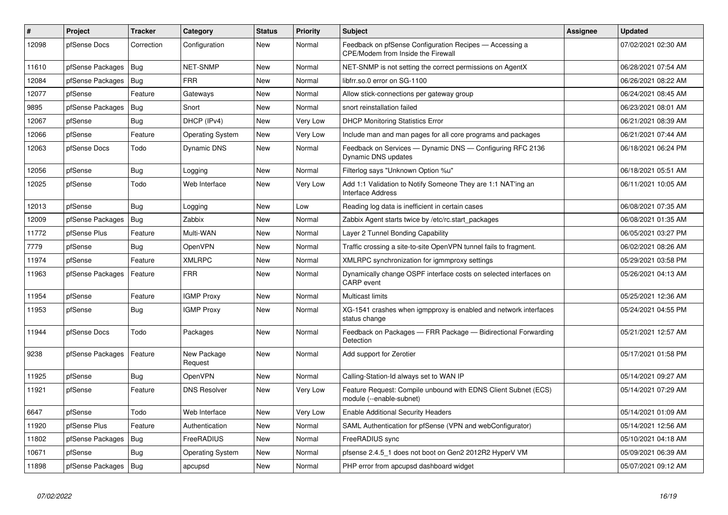| #     | <b>Project</b>   | <b>Tracker</b> | Category                | <b>Status</b> | Priority | <b>Subject</b>                                                                                | <b>Assignee</b> | <b>Updated</b>      |
|-------|------------------|----------------|-------------------------|---------------|----------|-----------------------------------------------------------------------------------------------|-----------------|---------------------|
| 12098 | pfSense Docs     | Correction     | Configuration           | <b>New</b>    | Normal   | Feedback on pfSense Configuration Recipes - Accessing a<br>CPE/Modem from Inside the Firewall |                 | 07/02/2021 02:30 AM |
| 11610 | pfSense Packages | Bug            | <b>NET-SNMP</b>         | New           | Normal   | NET-SNMP is not setting the correct permissions on AgentX                                     |                 | 06/28/2021 07:54 AM |
| 12084 | pfSense Packages | Bug            | <b>FRR</b>              | New           | Normal   | libfrr.so.0 error on SG-1100                                                                  |                 | 06/26/2021 08:22 AM |
| 12077 | pfSense          | Feature        | Gateways                | New           | Normal   | Allow stick-connections per gateway group                                                     |                 | 06/24/2021 08:45 AM |
| 9895  | pfSense Packages | Bug            | Snort                   | New           | Normal   | snort reinstallation failed                                                                   |                 | 06/23/2021 08:01 AM |
| 12067 | pfSense          | Bug            | DHCP (IPv4)             | New           | Very Low | <b>DHCP Monitoring Statistics Error</b>                                                       |                 | 06/21/2021 08:39 AM |
| 12066 | pfSense          | Feature        | <b>Operating System</b> | New           | Very Low | Include man and man pages for all core programs and packages                                  |                 | 06/21/2021 07:44 AM |
| 12063 | pfSense Docs     | Todo           | Dynamic DNS             | New           | Normal   | Feedback on Services — Dynamic DNS — Configuring RFC 2136<br>Dynamic DNS updates              |                 | 06/18/2021 06:24 PM |
| 12056 | pfSense          | <b>Bug</b>     | Logging                 | New           | Normal   | Filterlog says "Unknown Option %u"                                                            |                 | 06/18/2021 05:51 AM |
| 12025 | pfSense          | Todo           | Web Interface           | New           | Very Low | Add 1:1 Validation to Notify Someone They are 1:1 NAT'ing an<br><b>Interface Address</b>      |                 | 06/11/2021 10:05 AM |
| 12013 | pfSense          | Bug            | Logging                 | New           | Low      | Reading log data is inefficient in certain cases                                              |                 | 06/08/2021 07:35 AM |
| 12009 | pfSense Packages | <b>Bug</b>     | Zabbix                  | <b>New</b>    | Normal   | Zabbix Agent starts twice by /etc/rc.start packages                                           |                 | 06/08/2021 01:35 AM |
| 11772 | pfSense Plus     | Feature        | Multi-WAN               | New           | Normal   | Layer 2 Tunnel Bonding Capability                                                             |                 | 06/05/2021 03:27 PM |
| 7779  | pfSense          | Bug            | OpenVPN                 | New           | Normal   | Traffic crossing a site-to-site OpenVPN tunnel fails to fragment.                             |                 | 06/02/2021 08:26 AM |
| 11974 | pfSense          | Feature        | <b>XMLRPC</b>           | New           | Normal   | XMLRPC synchronization for igmmproxy settings                                                 |                 | 05/29/2021 03:58 PM |
| 11963 | pfSense Packages | Feature        | <b>FRR</b>              | New           | Normal   | Dynamically change OSPF interface costs on selected interfaces on<br><b>CARP</b> event        |                 | 05/26/2021 04:13 AM |
| 11954 | pfSense          | Feature        | <b>IGMP Proxy</b>       | New           | Normal   | <b>Multicast limits</b>                                                                       |                 | 05/25/2021 12:36 AM |
| 11953 | pfSense          | Bug            | <b>IGMP Proxy</b>       | New           | Normal   | XG-1541 crashes when igmpproxy is enabled and network interfaces<br>status change             |                 | 05/24/2021 04:55 PM |
| 11944 | pfSense Docs     | Todo           | Packages                | New           | Normal   | Feedback on Packages - FRR Package - Bidirectional Forwarding<br>Detection                    |                 | 05/21/2021 12:57 AM |
| 9238  | pfSense Packages | Feature        | New Package<br>Request  | <b>New</b>    | Normal   | Add support for Zerotier                                                                      |                 | 05/17/2021 01:58 PM |
| 11925 | pfSense          | Bug            | OpenVPN                 | <b>New</b>    | Normal   | Calling-Station-Id always set to WAN IP                                                       |                 | 05/14/2021 09:27 AM |
| 11921 | pfSense          | Feature        | <b>DNS Resolver</b>     | New           | Very Low | Feature Request: Compile unbound with EDNS Client Subnet (ECS)<br>module (--enable-subnet)    |                 | 05/14/2021 07:29 AM |
| 6647  | pfSense          | Todo           | Web Interface           | New           | Very Low | <b>Enable Additional Security Headers</b>                                                     |                 | 05/14/2021 01:09 AM |
| 11920 | pfSense Plus     | Feature        | Authentication          | New           | Normal   | SAML Authentication for pfSense (VPN and webConfigurator)                                     |                 | 05/14/2021 12:56 AM |
| 11802 | pfSense Packages | Bug            | FreeRADIUS              | New           | Normal   | FreeRADIUS sync                                                                               |                 | 05/10/2021 04:18 AM |
| 10671 | pfSense          | Bug            | <b>Operating System</b> | New           | Normal   | pfsense 2.4.5 1 does not boot on Gen2 2012R2 HyperV VM                                        |                 | 05/09/2021 06:39 AM |
| 11898 | pfSense Packages | Bug            | apcupsd                 | New           | Normal   | PHP error from apcupsd dashboard widget                                                       |                 | 05/07/2021 09:12 AM |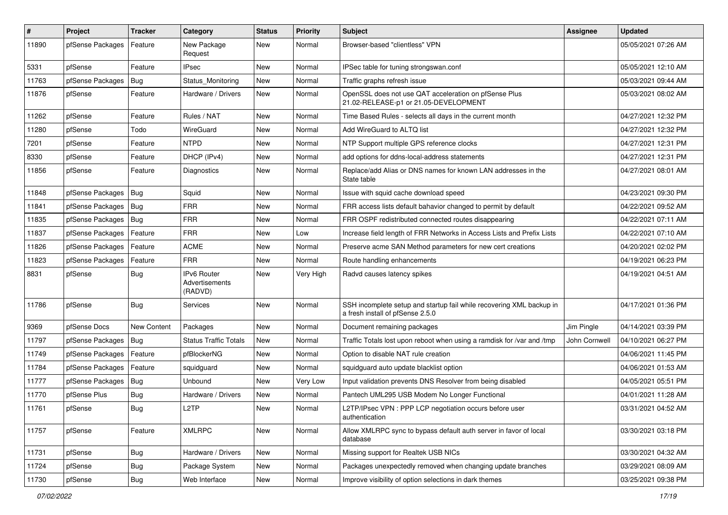| #     | Project          | <b>Tracker</b> | Category                                        | <b>Status</b> | <b>Priority</b> | <b>Subject</b>                                                                                           | <b>Assignee</b> | <b>Updated</b>      |
|-------|------------------|----------------|-------------------------------------------------|---------------|-----------------|----------------------------------------------------------------------------------------------------------|-----------------|---------------------|
| 11890 | pfSense Packages | Feature        | New Package<br>Request                          | New           | Normal          | Browser-based "clientless" VPN                                                                           |                 | 05/05/2021 07:26 AM |
| 5331  | pfSense          | Feature        | IPsec                                           | New           | Normal          | IPSec table for tuning strongswan.conf                                                                   |                 | 05/05/2021 12:10 AM |
| 11763 | pfSense Packages | Bug            | Status Monitoring                               | New           | Normal          | Traffic graphs refresh issue                                                                             |                 | 05/03/2021 09:44 AM |
| 11876 | pfSense          | Feature        | Hardware / Drivers                              | New           | Normal          | OpenSSL does not use QAT acceleration on pfSense Plus<br>21.02-RELEASE-p1 or 21.05-DEVELOPMENT           |                 | 05/03/2021 08:02 AM |
| 11262 | pfSense          | Feature        | Rules / NAT                                     | New           | Normal          | Time Based Rules - selects all days in the current month                                                 |                 | 04/27/2021 12:32 PM |
| 11280 | pfSense          | Todo           | WireGuard                                       | New           | Normal          | Add WireGuard to ALTQ list                                                                               |                 | 04/27/2021 12:32 PM |
| 7201  | pfSense          | Feature        | NTPD                                            | New           | Normal          | NTP Support multiple GPS reference clocks                                                                |                 | 04/27/2021 12:31 PM |
| 8330  | pfSense          | Feature        | DHCP (IPv4)                                     | New           | Normal          | add options for ddns-local-address statements                                                            |                 | 04/27/2021 12:31 PM |
| 11856 | pfSense          | Feature        | Diagnostics                                     | New           | Normal          | Replace/add Alias or DNS names for known LAN addresses in the<br>State table                             |                 | 04/27/2021 08:01 AM |
| 11848 | pfSense Packages | Bug            | Squid                                           | New           | Normal          | Issue with squid cache download speed                                                                    |                 | 04/23/2021 09:30 PM |
| 11841 | pfSense Packages | Bug            | <b>FRR</b>                                      | New           | Normal          | FRR access lists default bahavior changed to permit by default                                           |                 | 04/22/2021 09:52 AM |
| 11835 | pfSense Packages | Bug            | <b>FRR</b>                                      | New           | Normal          | FRR OSPF redistributed connected routes disappearing                                                     |                 | 04/22/2021 07:11 AM |
| 11837 | pfSense Packages | Feature        | <b>FRR</b>                                      | New           | Low             | Increase field length of FRR Networks in Access Lists and Prefix Lists                                   |                 | 04/22/2021 07:10 AM |
| 11826 | pfSense Packages | Feature        | <b>ACME</b>                                     | New           | Normal          | Preserve acme SAN Method parameters for new cert creations                                               |                 | 04/20/2021 02:02 PM |
| 11823 | pfSense Packages | Feature        | <b>FRR</b>                                      | <b>New</b>    | Normal          | Route handling enhancements                                                                              |                 | 04/19/2021 06:23 PM |
| 8831  | pfSense          | <b>Bug</b>     | <b>IPv6 Router</b><br>Advertisements<br>(RADVD) | New           | Very High       | Radvd causes latency spikes                                                                              |                 | 04/19/2021 04:51 AM |
| 11786 | pfSense          | <b>Bug</b>     | Services                                        | New           | Normal          | SSH incomplete setup and startup fail while recovering XML backup in<br>a fresh install of pfSense 2.5.0 |                 | 04/17/2021 01:36 PM |
| 9369  | pfSense Docs     | New Content    | Packages                                        | New           | Normal          | Document remaining packages                                                                              | Jim Pingle      | 04/14/2021 03:39 PM |
| 11797 | pfSense Packages | Bug            | <b>Status Traffic Totals</b>                    | New           | Normal          | Traffic Totals lost upon reboot when using a ramdisk for /var and /tmp                                   | John Cornwell   | 04/10/2021 06:27 PM |
| 11749 | pfSense Packages | Feature        | pfBlockerNG                                     | New           | Normal          | Option to disable NAT rule creation                                                                      |                 | 04/06/2021 11:45 PM |
| 11784 | pfSense Packages | Feature        | squidguard                                      | New           | Normal          | squidguard auto update blacklist option                                                                  |                 | 04/06/2021 01:53 AM |
| 11777 | pfSense Packages | Bug            | Unbound                                         | New           | Very Low        | Input validation prevents DNS Resolver from being disabled                                               |                 | 04/05/2021 05:51 PM |
| 11770 | pfSense Plus     | <b>Bug</b>     | Hardware / Drivers                              | New           | Normal          | Pantech UML295 USB Modem No Longer Functional                                                            |                 | 04/01/2021 11:28 AM |
| 11761 | pfSense          | Bug            | L2TP                                            | New           | Normal          | L2TP/IPsec VPN : PPP LCP negotiation occurs before user<br>authentication                                |                 | 03/31/2021 04:52 AM |
| 11757 | pfSense          | Feature        | <b>XMLRPC</b>                                   | New           | Normal          | Allow XMLRPC sync to bypass default auth server in favor of local<br>database                            |                 | 03/30/2021 03:18 PM |
| 11731 | pfSense          | <b>Bug</b>     | Hardware / Drivers                              | <b>New</b>    | Normal          | Missing support for Realtek USB NICs                                                                     |                 | 03/30/2021 04:32 AM |
| 11724 | pfSense          | <b>Bug</b>     | Package System                                  | New           | Normal          | Packages unexpectedly removed when changing update branches                                              |                 | 03/29/2021 08:09 AM |
| 11730 | pfSense          | Bug            | Web Interface                                   | New           | Normal          | Improve visibility of option selections in dark themes                                                   |                 | 03/25/2021 09:38 PM |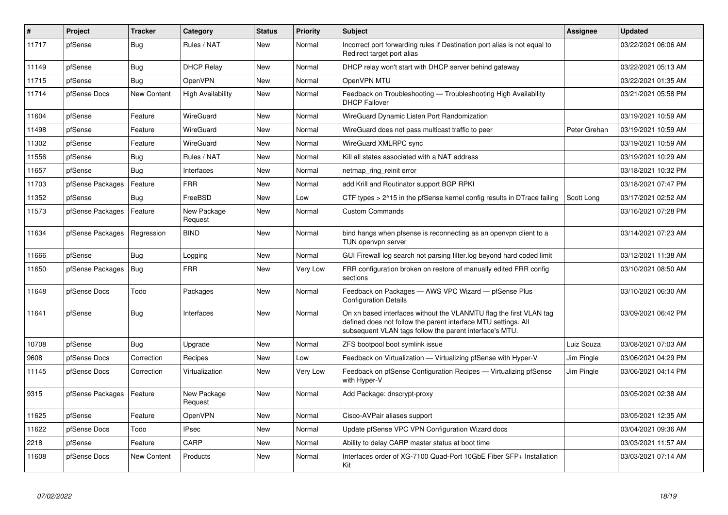| $\vert$ # | Project          | <b>Tracker</b>     | Category                 | <b>Status</b> | <b>Priority</b> | <b>Subject</b>                                                                                                                                                                                  | Assignee     | <b>Updated</b>      |
|-----------|------------------|--------------------|--------------------------|---------------|-----------------|-------------------------------------------------------------------------------------------------------------------------------------------------------------------------------------------------|--------------|---------------------|
| 11717     | pfSense          | Bug                | Rules / NAT              | New           | Normal          | Incorrect port forwarding rules if Destination port alias is not equal to<br>Redirect target port alias                                                                                         |              | 03/22/2021 06:06 AM |
| 11149     | pfSense          | Bug                | <b>DHCP Relay</b>        | New           | Normal          | DHCP relay won't start with DHCP server behind gateway                                                                                                                                          |              | 03/22/2021 05:13 AM |
| 11715     | pfSense          | Bug                | <b>OpenVPN</b>           | New           | Normal          | OpenVPN MTU                                                                                                                                                                                     |              | 03/22/2021 01:35 AM |
| 11714     | pfSense Docs     | New Content        | <b>High Availability</b> | New           | Normal          | Feedback on Troubleshooting — Troubleshooting High Availability<br><b>DHCP Failover</b>                                                                                                         |              | 03/21/2021 05:58 PM |
| 11604     | pfSense          | Feature            | WireGuard                | New           | Normal          | WireGuard Dynamic Listen Port Randomization                                                                                                                                                     |              | 03/19/2021 10:59 AM |
| 11498     | pfSense          | Feature            | WireGuard                | New           | Normal          | WireGuard does not pass multicast traffic to peer                                                                                                                                               | Peter Grehan | 03/19/2021 10:59 AM |
| 11302     | pfSense          | Feature            | WireGuard                | New           | Normal          | WireGuard XMLRPC sync                                                                                                                                                                           |              | 03/19/2021 10:59 AM |
| 11556     | pfSense          | <b>Bug</b>         | Rules / NAT              | New           | Normal          | Kill all states associated with a NAT address                                                                                                                                                   |              | 03/19/2021 10:29 AM |
| 11657     | pfSense          | Bug                | Interfaces               | <b>New</b>    | Normal          | netmap ring reinit error                                                                                                                                                                        |              | 03/18/2021 10:32 PM |
| 11703     | pfSense Packages | Feature            | <b>FRR</b>               | New           | Normal          | add Krill and Routinator support BGP RPKI                                                                                                                                                       |              | 03/18/2021 07:47 PM |
| 11352     | pfSense          | <b>Bug</b>         | FreeBSD                  | New           | Low             | CTF types $> 215$ in the pfSense kernel config results in DT race failing                                                                                                                       | Scott Long   | 03/17/2021 02:52 AM |
| 11573     | pfSense Packages | Feature            | New Package<br>Request   | New           | Normal          | <b>Custom Commands</b>                                                                                                                                                                          |              | 03/16/2021 07:28 PM |
| 11634     | pfSense Packages | Regression         | <b>BIND</b>              | New           | Normal          | bind hangs when pfsense is reconnecting as an openypn client to a<br>TUN openvpn server                                                                                                         |              | 03/14/2021 07:23 AM |
| 11666     | pfSense          | Bug                | Logging                  | New           | Normal          | GUI Firewall log search not parsing filter.log beyond hard coded limit                                                                                                                          |              | 03/12/2021 11:38 AM |
| 11650     | pfSense Packages | Bug                | <b>FRR</b>               | New           | Very Low        | FRR configuration broken on restore of manually edited FRR config<br>sections                                                                                                                   |              | 03/10/2021 08:50 AM |
| 11648     | pfSense Docs     | Todo               | Packages                 | New           | Normal          | Feedback on Packages - AWS VPC Wizard - pfSense Plus<br><b>Configuration Details</b>                                                                                                            |              | 03/10/2021 06:30 AM |
| 11641     | pfSense          | Bug                | Interfaces               | New           | Normal          | On xn based interfaces without the VLANMTU flag the first VLAN tag<br>defined does not follow the parent interface MTU settings. All<br>subsequent VLAN tags follow the parent interface's MTU. |              | 03/09/2021 06:42 PM |
| 10708     | pfSense          | <b>Bug</b>         | Upgrade                  | <b>New</b>    | Normal          | ZFS bootpool boot symlink issue                                                                                                                                                                 | Luiz Souza   | 03/08/2021 07:03 AM |
| 9608      | pfSense Docs     | Correction         | Recipes                  | New           | Low             | Feedback on Virtualization - Virtualizing pfSense with Hyper-V                                                                                                                                  | Jim Pingle   | 03/06/2021 04:29 PM |
| 11145     | pfSense Docs     | Correction         | Virtualization           | New           | Very Low        | Feedback on pfSense Configuration Recipes - Virtualizing pfSense<br>with Hyper-V                                                                                                                | Jim Pingle   | 03/06/2021 04:14 PM |
| 9315      | pfSense Packages | Feature            | New Package<br>Request   | <b>New</b>    | Normal          | Add Package: dnscrypt-proxy                                                                                                                                                                     |              | 03/05/2021 02:38 AM |
| 11625     | pfSense          | Feature            | OpenVPN                  | New           | Normal          | Cisco-AVPair aliases support                                                                                                                                                                    |              | 03/05/2021 12:35 AM |
| 11622     | pfSense Docs     | Todo               | <b>IPsec</b>             | <b>New</b>    | Normal          | Update pfSense VPC VPN Configuration Wizard docs                                                                                                                                                |              | 03/04/2021 09:36 AM |
| 2218      | pfSense          | Feature            | CARP                     | New           | Normal          | Ability to delay CARP master status at boot time                                                                                                                                                |              | 03/03/2021 11:57 AM |
| 11608     | pfSense Docs     | <b>New Content</b> | Products                 | <b>New</b>    | Normal          | Interfaces order of XG-7100 Quad-Port 10GbE Fiber SFP+ Installation<br>Kit                                                                                                                      |              | 03/03/2021 07:14 AM |